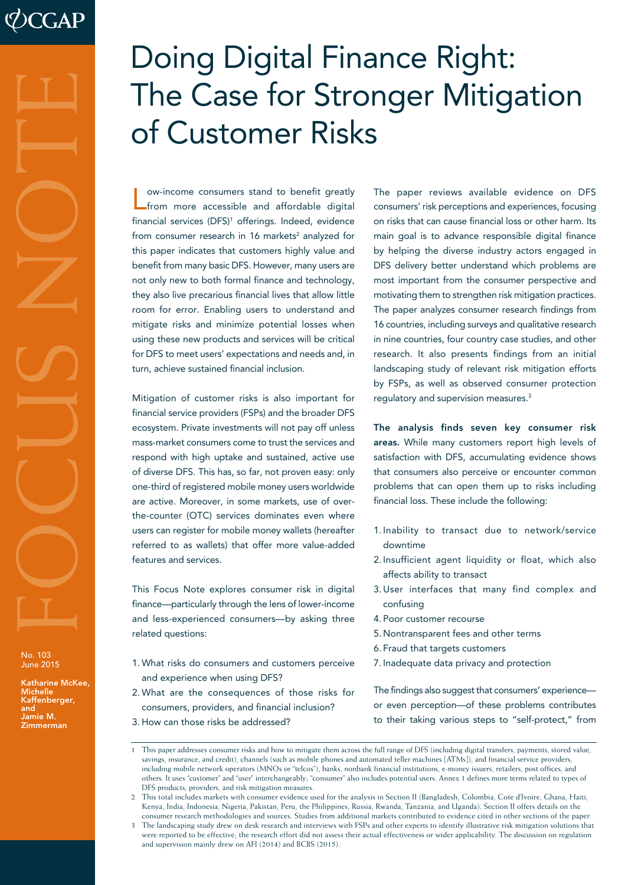# No. 103<br>
No. 103<br>
June 2015<br>
Katharine McK<br>
Michelle<br>
Jamie M.<br>
Zimmerman

No. 103 June 2015

Katharine McKee, Michelle Kaffenberger, and Jamie M<mark>.</mark><br>Zimmerman

# Doing Digital Finance Right: The Case for Stronger Mitigation of Customer Risks

Low-income consumers stand to benefit greatly from more accessible and affordable digital financial services (DFS)1 offerings. Indeed, evidence from consumer research in 16 markets $^{\rm 2}$  analyzed for this paper indicates that customers highly value and benefit from many basic DFS. However, many users are not only new to both formal finance and technology, they also live precarious financial lives that allow little room for error. Enabling users to understand and mitigate risks and minimize potential losses when using these new products and services will be critical for DFS to meet users' expectations and needs and, in turn, achieve sustained financial inclusion.

Mitigation of customer risks is also important for financial service providers (FSPs) and the broader DFS ecosystem. Private investments will not pay off unless mass-market consumers come to trust the services and respond with high uptake and sustained, active use of diverse DFS. This has, so far, not proven easy: only one-third of registered mobile money users worldwide are active. Moreover, in some markets, use of overthe-counter (OTC) services dominates even where users can register for mobile money wallets (hereafter referred to as wallets) that offer more value-added features and services.

This Focus Note explores consumer risk in digital finance—particularly through the lens of lower-income and less-experienced consumers—by asking three related questions:

- 1. What risks do consumers and customers perceive and experience when using DFS?
- 2. What are the consequences of those risks for consumers, providers, and financial inclusion?
- 3. How can those risks be addressed?

The paper reviews available evidence on DFS consumers' risk perceptions and experiences, focusing on risks that can cause financial loss or other harm. Its main goal is to advance responsible digital finance by helping the diverse industry actors engaged in DFS delivery better understand which problems are most important from the consumer perspective and motivating them to strengthen risk mitigation practices. The paper analyzes consumer research findings from 16 countries, including surveys and qualitative research in nine countries, four country case studies, and other research. It also presents findings from an initial landscaping study of relevant risk mitigation efforts by FSPs, as well as observed consumer protection regulatory and supervision measures.3

The analysis finds seven key consumer risk areas. While many customers report high levels of satisfaction with DFS, accumulating evidence shows that consumers also perceive or encounter common problems that can open them up to risks including financial loss. These include the following:

- 1. Inability to transact due to network/service downtime
- 2. Insufficient agent liquidity or float, which also affects ability to transact
- 3. User interfaces that many find complex and confusing
- 4. Poor customer recourse
- 5. Nontransparent fees and other terms
- 6. Fraud that targets customers
- 7. Inadequate data privacy and protection

The findings also suggest that consumers' experience or even perception—of these problems contributes to their taking various steps to "self-protect," from

<sup>1</sup> This paper addresses consumer risks and how to mitigate them across the full range of DFS (including digital transfers, payments, stored value, savings, insurance, and credit), channels (such as mobile phones and automated teller machines [ATMs]), and financial service providers, including mobile network operators (MNOs or "telcos"), banks, nonbank financial institutions, e-money issuers, retailers, post offices, and others. It uses "customer" and "user" interchangeably; "consumer" also includes potential users. Annex 1 defines more terms related to types of DFS products, providers, and risk mitigation measures.

<sup>2</sup> This total includes markets with consumer evidence used for the analysis in Section II (Bangladesh, Colombia, Cote d'Ivoire, Ghana, Haiti, Kenya, India, Indonesia, Nigeria, Pakistan, Peru, the Philippines, Russia, Rwanda, Tanzania, and Uganda). Section II offers details on the consumer research methodologies and sources. Studies from additional markets contributed to evidence cited in other sections of the paper.

<sup>3</sup> The landscaping study drew on desk research and interviews with FSPs and other experts to identify illustrative risk mitigation solutions that were reported to be effective; the research effort did not assess their actual effectiveness or wider applicability. The discussion on regulation and supervision mainly drew on AFI (2014) and BCBS (2015).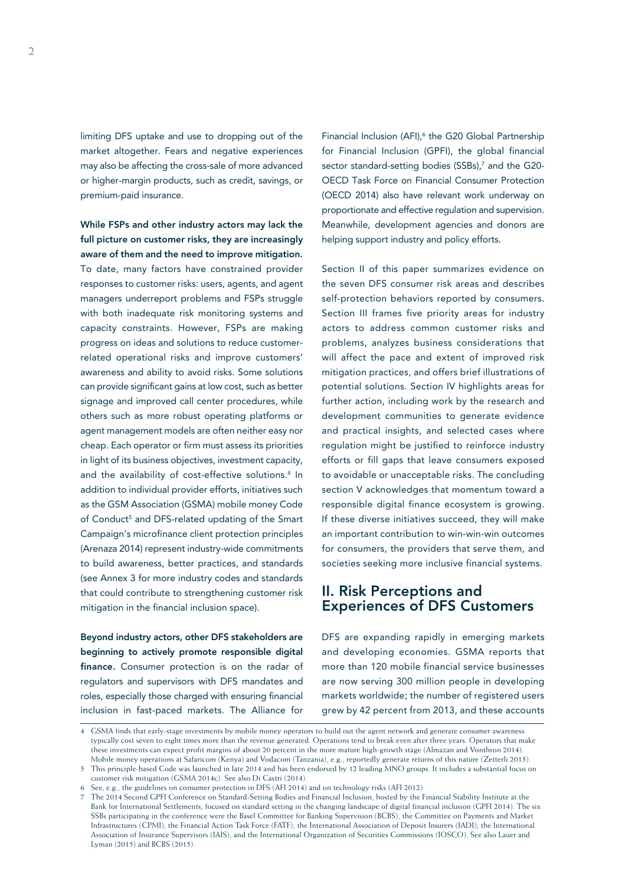limiting DFS uptake and use to dropping out of the market altogether. Fears and negative experiences may also be affecting the cross-sale of more advanced or higher-margin products, such as credit, savings, or premium-paid insurance.

While FSPs and other industry actors may lack the full picture on customer risks, they are increasingly aware of them and the need to improve mitigation. To date, many factors have constrained provider responses to customer risks: users, agents, and agent managers underreport problems and FSPs struggle with both inadequate risk monitoring systems and capacity constraints. However, FSPs are making progress on ideas and solutions to reduce customerrelated operational risks and improve customers' awareness and ability to avoid risks. Some solutions can provide significant gains at low cost, such as better signage and improved call center procedures, while others such as more robust operating platforms or agent management models are often neither easy nor cheap. Each operator or firm must assess its priorities in light of its business objectives, investment capacity, and the availability of cost-effective solutions.<sup>4</sup> In addition to individual provider efforts, initiatives such as the GSM Association (GSMA) mobile money Code of Conduct<sup>5</sup> and DFS-related updating of the Smart Campaign's microfinance client protection principles (Arenaza 2014) represent industry-wide commitments to build awareness, better practices, and standards (see Annex 3 for more industry codes and standards that could contribute to strengthening customer risk mitigation in the financial inclusion space).

Beyond industry actors, other DFS stakeholders are beginning to actively promote responsible digital finance. Consumer protection is on the radar of regulators and supervisors with DFS mandates and roles, especially those charged with ensuring financial inclusion in fast-paced markets. The Alliance for

Financial Inclusion (AFI),<sup>6</sup> the G20 Global Partnership for Financial Inclusion (GPFI), the global financial sector standard-setting bodies (SSBs),7 and the G20- OECD Task Force on Financial Consumer Protection (OECD 2014) also have relevant work underway on proportionate and effective regulation and supervision. Meanwhile, development agencies and donors are helping support industry and policy efforts.

Section II of this paper summarizes evidence on the seven DFS consumer risk areas and describes self-protection behaviors reported by consumers. Section III frames five priority areas for industry actors to address common customer risks and problems, analyzes business considerations that will affect the pace and extent of improved risk mitigation practices, and offers brief illustrations of potential solutions. Section IV highlights areas for further action, including work by the research and development communities to generate evidence and practical insights, and selected cases where regulation might be justified to reinforce industry efforts or fill gaps that leave consumers exposed to avoidable or unacceptable risks. The concluding section V acknowledges that momentum toward a responsible digital finance ecosystem is growing. If these diverse initiatives succeed, they will make an important contribution to win-win-win outcomes for consumers, the providers that serve them, and societies seeking more inclusive financial systems.

# II. Risk Perceptions and Experiences of DFS Customers

DFS are expanding rapidly in emerging markets and developing economies. GSMA reports that more than 120 mobile financial service businesses are now serving 300 million people in developing markets worldwide; the number of registered users grew by 42 percent from 2013, and these accounts

<sup>4</sup> GSMA finds that early-stage investments by mobile money operators to build out the agent network and generate consumer awareness typically cost seven to eight times more than the revenue generated. Operations tend to break even after three years. Operators that make these investments can expect profit margins of about 20 percent in the more mature high-growth stage (Almazan and Vonthron 2014). Mobile money operations at Safaricom (Kenya) and Vodacom (Tanzania), e.g., reportedly generate returns of this nature (Zetterli 2015).

<sup>5</sup> This principle-based Code was launched in late 2014 and has been endorsed by 12 leading MNO groups. It includes a substantial focus on customer risk mitigation (GSMA 2014c). See also Di Castri (2014).

<sup>6</sup> See, e.g., the guidelines on consumer protection in DFS (AFI 2014) and on technology risks (AFI 2012).

<sup>7</sup> The 2014 Second GPFI Conference on Standard-Setting Bodies and Financial Inclusion, hosted by the Financial Stability Institute at the Bank for International Settlements, focused on standard setting in the changing landscape of digital financial inclusion (GPFI 2014). The six SSBs participating in the conference were the Basel Committee for Banking Supervision (BCBS), the Committee on Payments and Market Infrastructures (CPMI), the Financial Action Task Force (FATF), the International Association of Deposit Insurers (IADI), the International Association of Insurance Supervisors (IAIS), and the International Organization of Securities Commissions (IOSCO). See also Lauer and Lyman (2015) and BCBS (2015).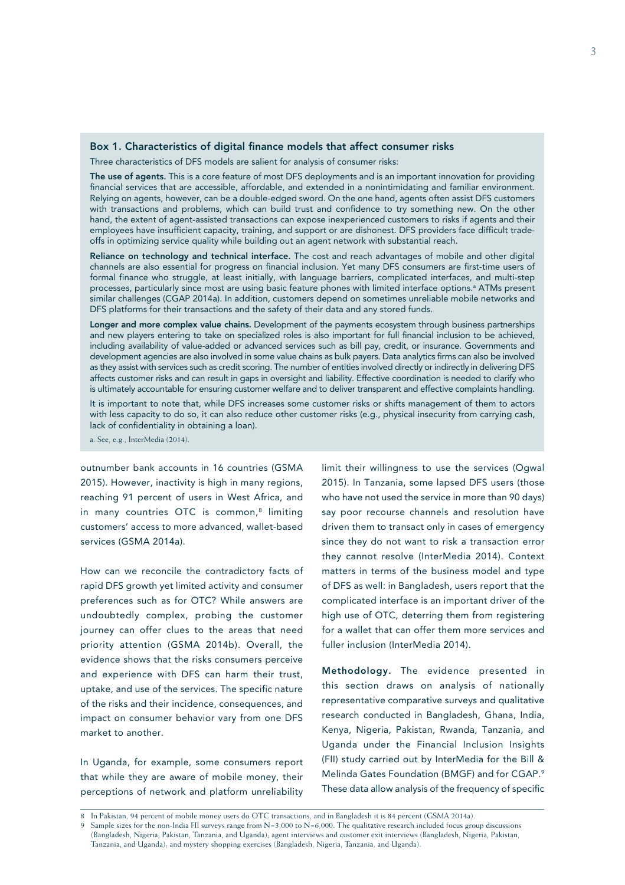### Box 1. Characteristics of digital finance models that affect consumer risks

Three characteristics of DFS models are salient for analysis of consumer risks:

The use of agents. This is a core feature of most DFS deployments and is an important innovation for providing financial services that are accessible, affordable, and extended in a nonintimidating and familiar environment. Relying on agents, however, can be a double-edged sword. On the one hand, agents often assist DFS customers with transactions and problems, which can build trust and confidence to try something new. On the other hand, the extent of agent-assisted transactions can expose inexperienced customers to risks if agents and their employees have insufficient capacity, training, and support or are dishonest. DFS providers face difficult tradeoffs in optimizing service quality while building out an agent network with substantial reach.

Reliance on technology and technical interface. The cost and reach advantages of mobile and other digital channels are also essential for progress on financial inclusion. Yet many DFS consumers are first-time users of formal finance who struggle, at least initially, with language barriers, complicated interfaces, and multi-step processes, particularly since most are using basic feature phones with limited interface options.ª ATMs present similar challenges (CGAP 2014a). In addition, customers depend on sometimes unreliable mobile networks and DFS platforms for their transactions and the safety of their data and any stored funds.

Longer and more complex value chains. Development of the payments ecosystem through business partnerships and new players entering to take on specialized roles is also important for full financial inclusion to be achieved, including availability of value-added or advanced services such as bill pay, credit, or insurance. Governments and development agencies are also involved in some value chains as bulk payers. Data analytics firms can also be involved as they assist with services such as credit scoring. The number of entities involved directly or indirectly in delivering DFS affects customer risks and can result in gaps in oversight and liability. Effective coordination is needed to clarify who is ultimately accountable for ensuring customer welfare and to deliver transparent and effective complaints handling.

It is important to note that, while DFS increases some customer risks or shifts management of them to actors with less capacity to do so, it can also reduce other customer risks (e.g., physical insecurity from carrying cash, lack of confidentiality in obtaining a loan).

a. See, e.g., InterMedia (2014).

outnumber bank accounts in 16 countries (GSMA 2015). However, inactivity is high in many regions, reaching 91 percent of users in West Africa, and in many countries OTC is common, $8$  limiting customers' access to more advanced, wallet-based services (GSMA 2014a).

How can we reconcile the contradictory facts of rapid DFS growth yet limited activity and consumer preferences such as for OTC? While answers are undoubtedly complex, probing the customer journey can offer clues to the areas that need priority attention (GSMA 2014b). Overall, the evidence shows that the risks consumers perceive and experience with DFS can harm their trust, uptake, and use of the services. The specific nature of the risks and their incidence, consequences, and impact on consumer behavior vary from one DFS market to another.

In Uganda, for example, some consumers report that while they are aware of mobile money, their perceptions of network and platform unreliability

limit their willingness to use the services (Ogwal 2015). In Tanzania, some lapsed DFS users (those who have not used the service in more than 90 days) say poor recourse channels and resolution have driven them to transact only in cases of emergency since they do not want to risk a transaction error they cannot resolve (InterMedia 2014). Context matters in terms of the business model and type of DFS as well: in Bangladesh, users report that the complicated interface is an important driver of the high use of OTC, deterring them from registering for a wallet that can offer them more services and fuller inclusion (InterMedia 2014).

Methodology. The evidence presented in this section draws on analysis of nationally representative comparative surveys and qualitative research conducted in Bangladesh, Ghana, India, Kenya, Nigeria, Pakistan, Rwanda, Tanzania, and Uganda under the Financial Inclusion Insights (FII) study carried out by InterMedia for the Bill & Melinda Gates Foundation (BMGF) and for CGAP.9 These data allow analysis of the frequency of specific

<sup>8</sup> In Pakistan, 94 percent of mobile money users do OTC transactions, and in Bangladesh it is 84 percent (GSMA 2014a).

Sample sizes for the non-India FII surveys range from  $N=3,000$  to  $N=6,000$ . The qualitative research included focus group discussions (Bangladesh, Nigeria, Pakistan, Tanzania, and Uganda); agent interviews and customer exit interviews (Bangladesh, Nigeria, Pakistan, Tanzania, and Uganda); and mystery shopping exercises (Bangladesh, Nigeria, Tanzania, and Uganda).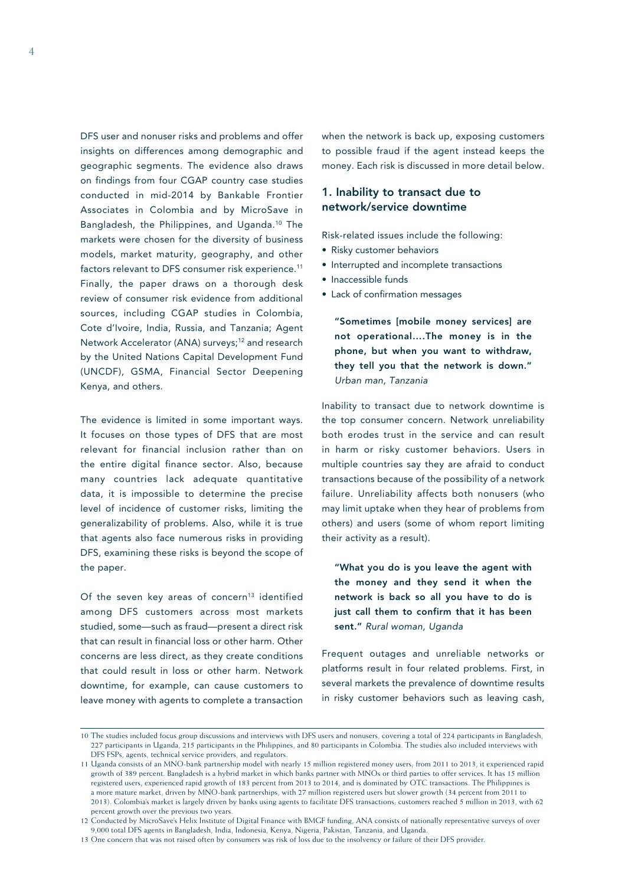DFS user and nonuser risks and problems and offer insights on differences among demographic and geographic segments. The evidence also draws on findings from four CGAP country case studies conducted in mid-2014 by Bankable Frontier Associates in Colombia and by MicroSave in Bangladesh, the Philippines, and Uganda.10 The markets were chosen for the diversity of business models, market maturity, geography, and other factors relevant to DFS consumer risk experience.<sup>11</sup> Finally, the paper draws on a thorough desk review of consumer risk evidence from additional sources, including CGAP studies in Colombia, Cote d'Ivoire, India, Russia, and Tanzania; Agent Network Accelerator (ANA) surveys;<sup>12</sup> and research by the United Nations Capital Development Fund (UNCDF), GSMA, Financial Sector Deepening Kenya, and others.

The evidence is limited in some important ways. It focuses on those types of DFS that are most relevant for financial inclusion rather than on the entire digital finance sector. Also, because many countries lack adequate quantitative data, it is impossible to determine the precise level of incidence of customer risks, limiting the generalizability of problems. Also, while it is true that agents also face numerous risks in providing DFS, examining these risks is beyond the scope of the paper.

Of the seven key areas of concern<sup>13</sup> identified among DFS customers across most markets studied, some—such as fraud—present a direct risk that can result in financial loss or other harm. Other concerns are less direct, as they create conditions that could result in loss or other harm. Network downtime, for example, can cause customers to leave money with agents to complete a transaction

when the network is back up, exposing customers to possible fraud if the agent instead keeps the money. Each risk is discussed in more detail below.

### 1. Inability to transact due to network/service downtime

Risk-related issues include the following:

- Risky customer behaviors
- Interrupted and incomplete transactions
- Inaccessible funds
- Lack of confirmation messages

"Sometimes [mobile money services] are not operational….The money is in the phone, but when you want to withdraw, they tell you that the network is down." *Urban man, Tanzania*

Inability to transact due to network downtime is the top consumer concern. Network unreliability both erodes trust in the service and can result in harm or risky customer behaviors. Users in multiple countries say they are afraid to conduct transactions because of the possibility of a network failure. Unreliability affects both nonusers (who may limit uptake when they hear of problems from others) and users (some of whom report limiting their activity as a result).

"What you do is you leave the agent with the money and they send it when the network is back so all you have to do is just call them to confirm that it has been sent." *Rural woman, Uganda*

Frequent outages and unreliable networks or platforms result in four related problems. First, in several markets the prevalence of downtime results in risky customer behaviors such as leaving cash,

<sup>10</sup> The studies included focus group discussions and interviews with DFS users and nonusers, covering a total of 224 participants in Bangladesh, 227 participants in Uganda, 215 participants in the Philippines, and 80 participants in Colombia. The studies also included interviews with DFS FSPs, agents, technical service providers, and regulators.

<sup>11</sup> Uganda consists of an MNO-bank partnership model with nearly 15 million registered money users; from 2011 to 2013, it experienced rapid growth of 389 percent. Bangladesh is a hybrid market in which banks partner with MNOs or third parties to offer services. It has 15 million registered users, experienced rapid growth of 183 percent from 2013 to 2014, and is dominated by OTC transactions. The Philippines is a more mature market, driven by MNO-bank partnerships, with 27 million registered users but slower growth (34 percent from 2011 to 2013). Colombia's market is largely driven by banks using agents to facilitate DFS transactions; customers reached 5 million in 2013, with 62 percent growth over the previous two years.

<sup>12</sup> Conducted by MicroSave's Helix Institute of Digital Finance with BMGF funding, ANA consists of nationally representative surveys of over 9,000 total DFS agents in Bangladesh, India, Indonesia, Kenya, Nigeria, Pakistan, Tanzania, and Uganda.

<sup>13</sup> One concern that was not raised often by consumers was risk of loss due to the insolvency or failure of their DFS provider.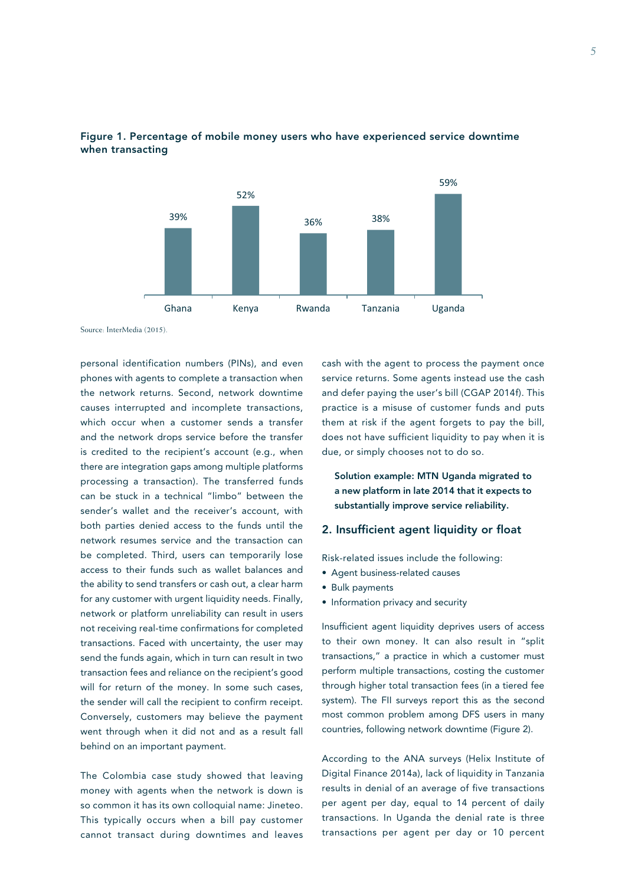



Source: InterMedia (2015).

personal identification numbers (PINs), and even phones with agents to complete a transaction when the network returns. Second, network downtime causes interrupted and incomplete transactions, which occur when a customer sends a transfer and the network drops service before the transfer is credited to the recipient's account (e.g., when there are integration gaps among multiple platforms processing a transaction). The transferred funds can be stuck in a technical "limbo" between the sender's wallet and the receiver's account, with both parties denied access to the funds until the network resumes service and the transaction can be completed. Third, users can temporarily lose access to their funds such as wallet balances and the ability to send transfers or cash out, a clear harm for any customer with urgent liquidity needs. Finally, network or platform unreliability can result in users not receiving real-time confirmations for completed transactions. Faced with uncertainty, the user may send the funds again, which in turn can result in two transaction fees and reliance on the recipient's good will for return of the money. In some such cases, the sender will call the recipient to confirm receipt. Conversely, customers may believe the payment went through when it did not and as a result fall behind on an important payment.

The Colombia case study showed that leaving money with agents when the network is down is so common it has its own colloquial name: Jineteo. This typically occurs when a bill pay customer cannot transact during downtimes and leaves cash with the agent to process the payment once service returns. Some agents instead use the cash and defer paying the user's bill (CGAP 2014f). This practice is a misuse of customer funds and puts them at risk if the agent forgets to pay the bill, does not have sufficient liquidity to pay when it is due, or simply chooses not to do so.

Solution example: MTN Uganda migrated to a new platform in late 2014 that it expects to substantially improve service reliability.

### 2. Insufficient agent liquidity or float

Risk-related issues include the following:

- Agent business-related causes
- Bulk payments
- Information privacy and security

Insufficient agent liquidity deprives users of access to their own money. It can also result in "split transactions," a practice in which a customer must perform multiple transactions, costing the customer through higher total transaction fees (in a tiered fee system). The FII surveys report this as the second most common problem among DFS users in many countries, following network downtime (Figure 2).

According to the ANA surveys (Helix Institute of Digital Finance 2014a), lack of liquidity in Tanzania results in denial of an average of five transactions per agent per day, equal to 14 percent of daily transactions. In Uganda the denial rate is three transactions per agent per day or 10 percent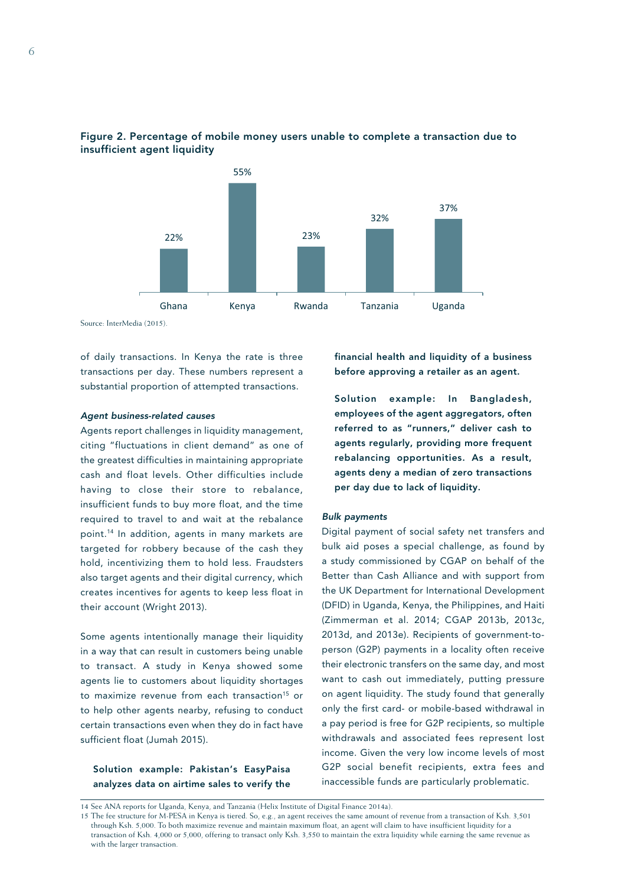



Source: InterMedia (2015).

of daily transactions. In Kenya the rate is three transactions per day. These numbers represent a substantial proportion of attempted transactions.

### *Agent business-related causes*

Agents report challenges in liquidity management, citing "fluctuations in client demand" as one of the greatest difficulties in maintaining appropriate cash and float levels. Other difficulties include having to close their store to rebalance, insufficient funds to buy more float, and the time required to travel to and wait at the rebalance point.14 In addition, agents in many markets are targeted for robbery because of the cash they hold, incentivizing them to hold less. Fraudsters also target agents and their digital currency, which creates incentives for agents to keep less float in their account (Wright 2013).

Some agents intentionally manage their liquidity in a way that can result in customers being unable to transact. A study in Kenya showed some agents lie to customers about liquidity shortages to maximize revenue from each transaction<sup>15</sup> or to help other agents nearby, refusing to conduct certain transactions even when they do in fact have sufficient float (Jumah 2015).

Solution example: Pakistan's EasyPaisa analyzes data on airtime sales to verify the financial health and liquidity of a business before approving a retailer as an agent.

Solution example: In Bangladesh, employees of the agent aggregators, often referred to as "runners," deliver cash to agents regularly, providing more frequent rebalancing opportunities. As a result, agents deny a median of zero transactions per day due to lack of liquidity.

### *Bulk payments*

Digital payment of social safety net transfers and bulk aid poses a special challenge, as found by a study commissioned by CGAP on behalf of the Better than Cash Alliance and with support from the UK Department for International Development (DFID) in Uganda, Kenya, the Philippines, and Haiti (Zimmerman et al. 2014; CGAP 2013b, 2013c, 2013d, and 2013e). Recipients of government-toperson (G2P) payments in a locality often receive their electronic transfers on the same day, and most want to cash out immediately, putting pressure on agent liquidity. The study found that generally only the first card- or mobile-based withdrawal in a pay period is free for G2P recipients, so multiple withdrawals and associated fees represent lost income. Given the very low income levels of most G2P social benefit recipients, extra fees and inaccessible funds are particularly problematic.

14 See ANA reports for Uganda, Kenya, and Tanzania (Helix Institute of Digital Finance 2014a).

<sup>15</sup> The fee structure for M-PESA in Kenya is tiered. So, e.g., an agent receives the same amount of revenue from a transaction of Ksh. 3,501 through Ksh. 5,000. To both maximize revenue and maintain maximum float, an agent will claim to have insufficient liquidity for a transaction of Ksh. 4,000 or 5,000, offering to transact only Ksh. 3,550 to maintain the extra liquidity while earning the same revenue as with the larger transaction.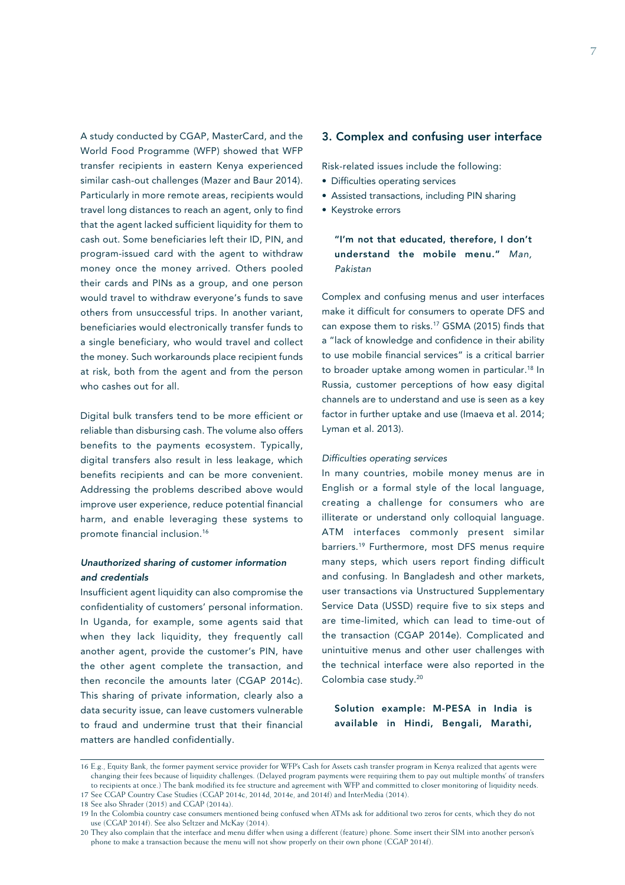A study conducted by CGAP, MasterCard, and the World Food Programme (WFP) showed that WFP transfer recipients in eastern Kenya experienced similar cash-out challenges (Mazer and Baur 2014). Particularly in more remote areas, recipients would travel long distances to reach an agent, only to find that the agent lacked sufficient liquidity for them to cash out. Some beneficiaries left their ID, PIN, and program-issued card with the agent to withdraw money once the money arrived. Others pooled their cards and PINs as a group, and one person would travel to withdraw everyone's funds to save others from unsuccessful trips. In another variant, beneficiaries would electronically transfer funds to a single beneficiary, who would travel and collect the money. Such workarounds place recipient funds at risk, both from the agent and from the person who cashes out for all.

Digital bulk transfers tend to be more efficient or reliable than disbursing cash. The volume also offers benefits to the payments ecosystem. Typically, digital transfers also result in less leakage, which benefits recipients and can be more convenient. Addressing the problems described above would improve user experience, reduce potential financial harm, and enable leveraging these systems to promote financial inclusion.16

### *Unauthorized sharing of customer information and credentials*

Insufficient agent liquidity can also compromise the confidentiality of customers' personal information. In Uganda, for example, some agents said that when they lack liquidity, they frequently call another agent, provide the customer's PIN, have the other agent complete the transaction, and then reconcile the amounts later (CGAP 2014c). This sharing of private information, clearly also a data security issue, can leave customers vulnerable to fraud and undermine trust that their financial matters are handled confidentially.

### 3. Complex and confusing user interface

Risk-related issues include the following:

- Difficulties operating services
- Assisted transactions, including PIN sharing
- Keystroke errors

"I'm not that educated, therefore, I don't understand the mobile menu." *Man, Pakistan*

Complex and confusing menus and user interfaces make it difficult for consumers to operate DFS and can expose them to risks.17 GSMA (2015) finds that a "lack of knowledge and confidence in their ability to use mobile financial services" is a critical barrier to broader uptake among women in particular.<sup>18</sup> In Russia, customer perceptions of how easy digital channels are to understand and use is seen as a key factor in further uptake and use (Imaeva et al. 2014; Lyman et al. 2013).

### *Difficulties operating services*

In many countries, mobile money menus are in English or a formal style of the local language, creating a challenge for consumers who are illiterate or understand only colloquial language. ATM interfaces commonly present similar barriers.19 Furthermore, most DFS menus require many steps, which users report finding difficult and confusing. In Bangladesh and other markets, user transactions via Unstructured Supplementary Service Data (USSD) require five to six steps and are time-limited, which can lead to time-out of the transaction (CGAP 2014e). Complicated and unintuitive menus and other user challenges with the technical interface were also reported in the Colombia case study.20

Solution example: M-PESA in India is available in Hindi, Bengali, Marathi,

<sup>16</sup> E.g., Equity Bank, the former payment service provider for WFP's Cash for Assets cash transfer program in Kenya realized that agents were changing their fees because of liquidity challenges. (Delayed program payments were requiring them to pay out multiple months' of transfers to recipients at once.) The bank modified its fee structure and agreement with WFP and committed to closer monitoring of liquidity needs. 17 See CGAP Country Case Studies (CGAP 2014c, 2014d, 2014e, and 2014f) and InterMedia (2014).

<sup>18</sup> See also Shrader (2015) and CGAP (2014a).

<sup>19</sup> In the Colombia country case consumers mentioned being confused when ATMs ask for additional two zeros for cents, which they do not use (CGAP 2014f). See also Seltzer and McKay (2014).

<sup>20</sup> They also complain that the interface and menu differ when using a different (feature) phone. Some insert their SIM into another person's phone to make a transaction because the menu will not show properly on their own phone (CGAP 2014f).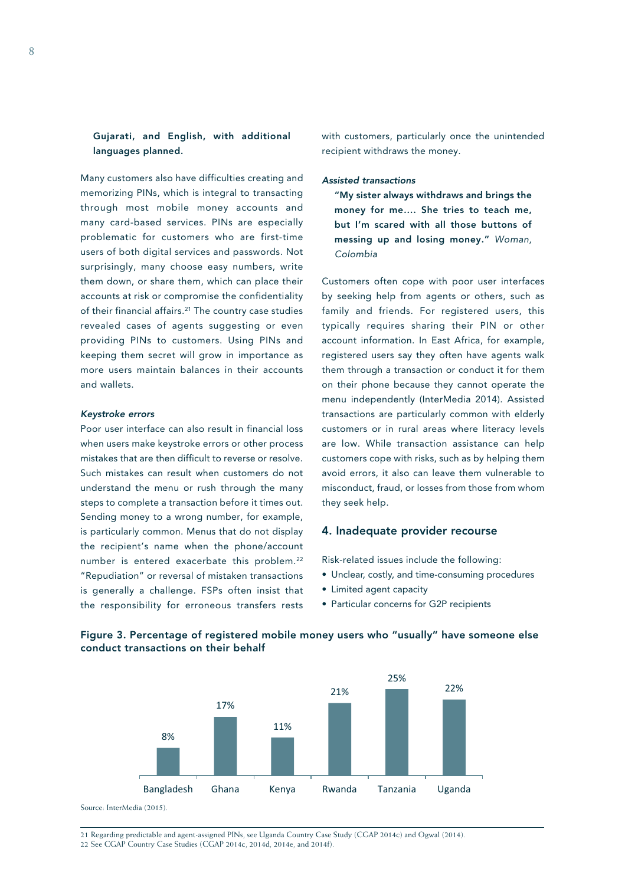### Gujarati, and English, with additional languages planned.

Many customers also have difficulties creating and memorizing PINs, which is integral to transacting through most mobile money accounts and many card-based services. PINs are especially problematic for customers who are first-time users of both digital services and passwords. Not surprisingly, many choose easy numbers, write them down, or share them, which can place their accounts at risk or compromise the confidentiality of their financial affairs.<sup>21</sup> The country case studies revealed cases of agents suggesting or even providing PINs to customers. Using PINs and keeping them secret will grow in importance as more users maintain balances in their accounts and wallets.

### *Keystroke errors*

Poor user interface can also result in financial loss when users make keystroke errors or other process mistakes that are then difficult to reverse or resolve. Such mistakes can result when customers do not understand the menu or rush through the many steps to complete a transaction before it times out. Sending money to a wrong number, for example, is particularly common. Menus that do not display the recipient's name when the phone/account number is entered exacerbate this problem.<sup>22</sup> "Repudiation" or reversal of mistaken transactions is generally a challenge. FSPs often insist that the responsibility for erroneous transfers rests

with customers, particularly once the unintended recipient withdraws the money.

### *Assisted transactions*

"My sister always withdraws and brings the money for me…. She tries to teach me, but I'm scared with all those buttons of messing up and losing money." *Woman, Colombia*

Customers often cope with poor user interfaces by seeking help from agents or others, such as family and friends. For registered users, this typically requires sharing their PIN or other account information. In East Africa, for example, registered users say they often have agents walk them through a transaction or conduct it for them on their phone because they cannot operate the menu independently (InterMedia 2014). Assisted transactions are particularly common with elderly customers or in rural areas where literacy levels are low. While transaction assistance can help customers cope with risks, such as by helping them avoid errors, it also can leave them vulnerable to misconduct, fraud, or losses from those from whom they seek help.

### 4. Inadequate provider recourse

Risk-related issues include the following:

- Unclear, costly, and time-consuming procedures
- Limited agent capacity
- Particular concerns for G2P recipients



### Figure 3. Percentage of registered mobile money users who "usually" have someone else conduct transactions on their behalf

21 Regarding predictable and agent-assigned PINs, see Uganda Country Case Study (CGAP 2014c) and Ogwal (2014). 22 See CGAP Country Case Studies (CGAP 2014c, 2014d, 2014e, and 2014f).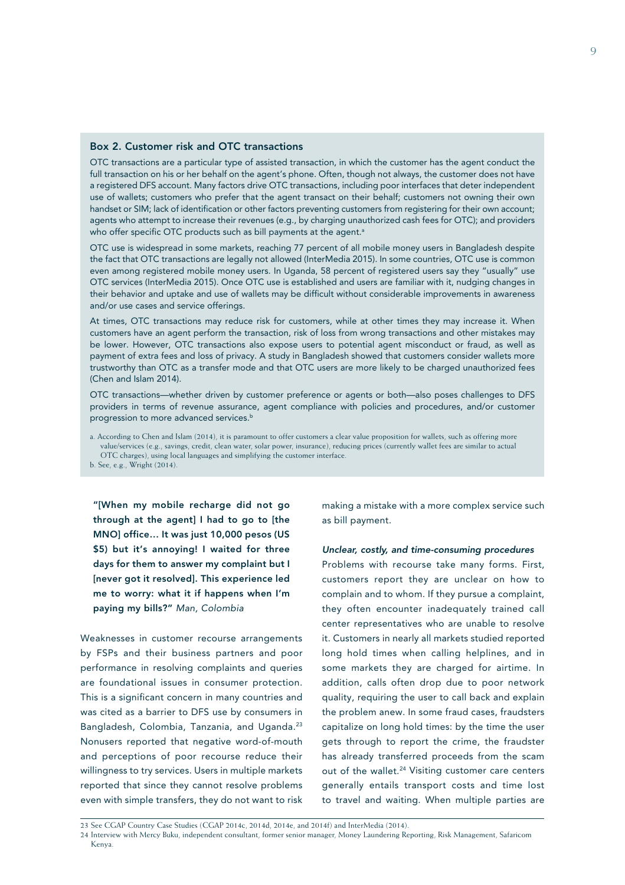### Box 2. Customer risk and OTC transactions

OTC transactions are a particular type of assisted transaction, in which the customer has the agent conduct the full transaction on his or her behalf on the agent's phone. Often, though not always, the customer does not have a registered DFS account. Many factors drive OTC transactions, including poor interfaces that deter independent use of wallets; customers who prefer that the agent transact on their behalf; customers not owning their own handset or SIM; lack of identification or other factors preventing customers from registering for their own account; agents who attempt to increase their revenues (e.g., by charging unauthorized cash fees for OTC); and providers who offer specific OTC products such as bill payments at the agent.<sup>a</sup>

OTC use is widespread in some markets, reaching 77 percent of all mobile money users in Bangladesh despite the fact that OTC transactions are legally not allowed (InterMedia 2015). In some countries, OTC use is common even among registered mobile money users. In Uganda, 58 percent of registered users say they "usually" use OTC services (InterMedia 2015). Once OTC use is established and users are familiar with it, nudging changes in their behavior and uptake and use of wallets may be difficult without considerable improvements in awareness and/or use cases and service offerings.

At times, OTC transactions may reduce risk for customers, while at other times they may increase it. When customers have an agent perform the transaction, risk of loss from wrong transactions and other mistakes may be lower. However, OTC transactions also expose users to potential agent misconduct or fraud, as well as payment of extra fees and loss of privacy. A study in Bangladesh showed that customers consider wallets more trustworthy than OTC as a transfer mode and that OTC users are more likely to be charged unauthorized fees (Chen and Islam 2014).

OTC transactions—whether driven by customer preference or agents or both—also poses challenges to DFS providers in terms of revenue assurance, agent compliance with policies and procedures, and/or customer progression to more advanced services.<sup>b</sup>

a. According to Chen and Islam (2014), it is paramount to offer customers a clear value proposition for wallets, such as offering more value/services (e.g., savings, credit, clean water, solar power, insurance), reducing prices (currently wallet fees are similar to actual OTC charges), using local languages and simplifying the customer interface. b. See, e.g., Wright (2014).

"[When my mobile recharge did not go through at the agent] I had to go to [the MNO] office… It was just 10,000 pesos (US \$5) but it's annoying! I waited for three days for them to answer my complaint but I [never got it resolved]. This experience led me to worry: what it if happens when I'm paying my bills?" *Man, Colombia*

Weaknesses in customer recourse arrangements by FSPs and their business partners and poor performance in resolving complaints and queries are foundational issues in consumer protection. This is a significant concern in many countries and was cited as a barrier to DFS use by consumers in Bangladesh, Colombia, Tanzania, and Uganda.23 Nonusers reported that negative word-of-mouth and perceptions of poor recourse reduce their willingness to try services. Users in multiple markets reported that since they cannot resolve problems even with simple transfers, they do not want to risk

making a mistake with a more complex service such as bill payment.

### *Unclear, costly, and time-consuming procedures*

Problems with recourse take many forms. First, customers report they are unclear on how to complain and to whom. If they pursue a complaint, they often encounter inadequately trained call center representatives who are unable to resolve it. Customers in nearly all markets studied reported long hold times when calling helplines, and in some markets they are charged for airtime. In addition, calls often drop due to poor network quality, requiring the user to call back and explain the problem anew. In some fraud cases, fraudsters capitalize on long hold times: by the time the user gets through to report the crime, the fraudster has already transferred proceeds from the scam out of the wallet.<sup>24</sup> Visiting customer care centers generally entails transport costs and time lost to travel and waiting. When multiple parties are

<sup>23</sup> See CGAP Country Case Studies (CGAP 2014c, 2014d, 2014e, and 2014f) and InterMedia (2014).

<sup>24</sup> Interview with Mercy Buku, independent consultant, former senior manager, Money Laundering Reporting, Risk Management, Safaricom Kenya.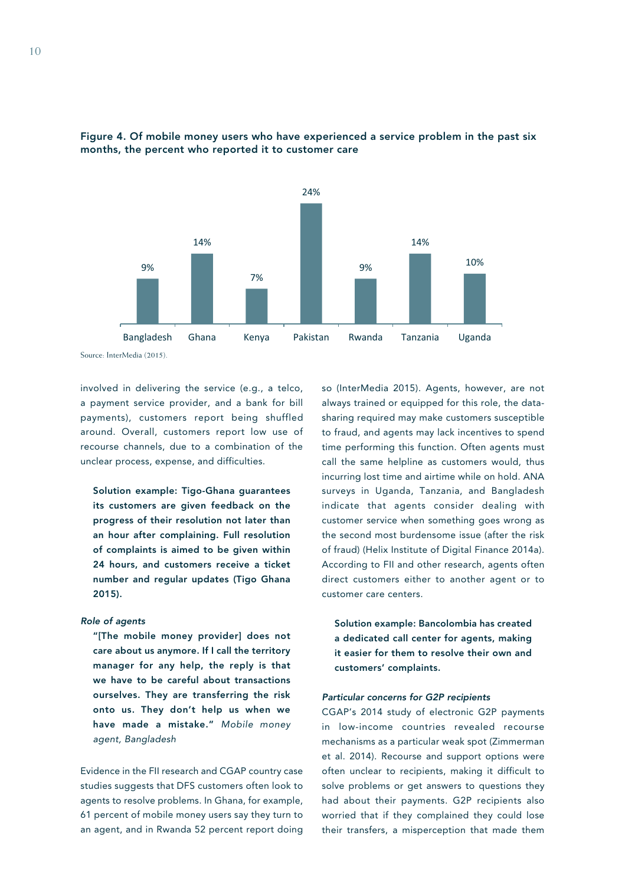



Source: InterMedia (2015).

involved in delivering the service (e.g., a telco, a payment service provider, and a bank for bill payments), customers report being shuffled around. Overall, customers report low use of recourse channels, due to a combination of the unclear process, expense, and difficulties.

Solution example: Tigo-Ghana guarantees its customers are given feedback on the progress of their resolution not later than an hour after complaining. Full resolution of complaints is aimed to be given within 24 hours, and customers receive a ticket number and regular updates (Tigo Ghana 2015).

### *Role of agents*

"[The mobile money provider] does not care about us anymore. If I call the territory manager for any help, the reply is that we have to be careful about transactions ourselves. They are transferring the risk onto us. They don't help us when we have made a mistake." *Mobile money agent, Bangladesh*

Evidence in the FII research and CGAP country case studies suggests that DFS customers often look to agents to resolve problems. In Ghana, for example, 61 percent of mobile money users say they turn to an agent, and in Rwanda 52 percent report doing so (InterMedia 2015). Agents, however, are not always trained or equipped for this role, the datasharing required may make customers susceptible to fraud, and agents may lack incentives to spend time performing this function. Often agents must call the same helpline as customers would, thus incurring lost time and airtime while on hold. ANA surveys in Uganda, Tanzania, and Bangladesh indicate that agents consider dealing with customer service when something goes wrong as the second most burdensome issue (after the risk of fraud) (Helix Institute of Digital Finance 2014a). According to FII and other research, agents often direct customers either to another agent or to customer care centers.

Solution example: Bancolombia has created a dedicated call center for agents, making it easier for them to resolve their own and customers' complaints.

### *Particular concerns for G2P recipients*

CGAP's 2014 study of electronic G2P payments in low-income countries revealed recourse mechanisms as a particular weak spot (Zimmerman et al. 2014). Recourse and support options were often unclear to recipients, making it difficult to solve problems or get answers to questions they had about their payments. G2P recipients also worried that if they complained they could lose their transfers, a misperception that made them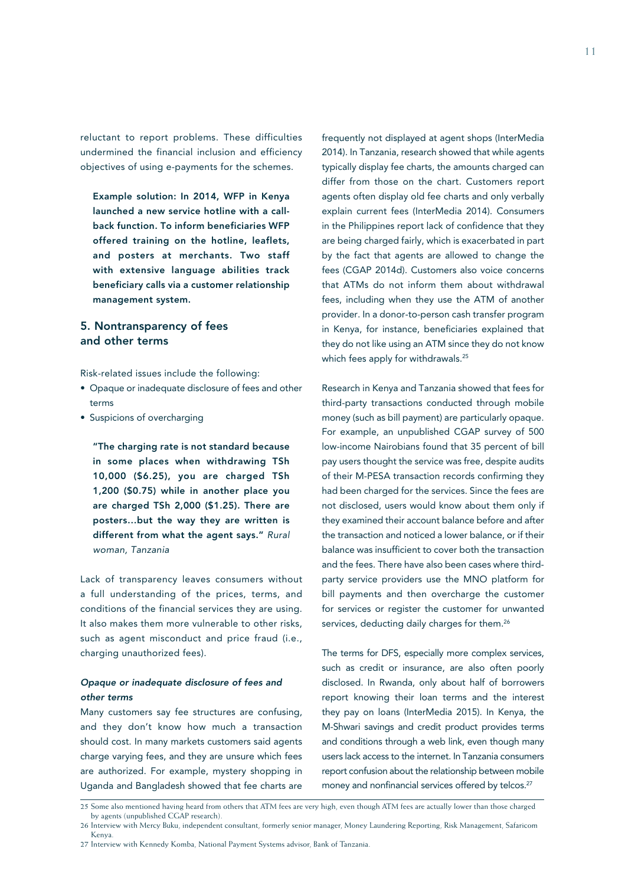reluctant to report problems. These difficulties undermined the financial inclusion and efficiency objectives of using e-payments for the schemes.

Example solution: In 2014, WFP in Kenya launched a new service hotline with a callback function. To inform beneficiaries WFP offered training on the hotline, leaflets, and posters at merchants. Two staff with extensive language abilities track beneficiary calls via a customer relationship management system.

### 5. Nontransparency of fees and other terms

Risk-related issues include the following:

- Opaque or inadequate disclosure of fees and other terms
- Suspicions of overcharging

"The charging rate is not standard because in some places when withdrawing TSh 10,000 (\$6.25), you are charged TSh 1,200 (\$0.75) while in another place you are charged TSh 2,000 (\$1.25). There are posters…but the way they are written is different from what the agent says." *Rural woman, Tanzania*

Lack of transparency leaves consumers without a full understanding of the prices, terms, and conditions of the financial services they are using. It also makes them more vulnerable to other risks, such as agent misconduct and price fraud (i.e., charging unauthorized fees).

### *Opaque or inadequate disclosure of fees and other terms*

Many customers say fee structures are confusing, and they don't know how much a transaction should cost. In many markets customers said agents charge varying fees, and they are unsure which fees are authorized. For example, mystery shopping in Uganda and Bangladesh showed that fee charts are

frequently not displayed at agent shops (InterMedia 2014). In Tanzania, research showed that while agents typically display fee charts, the amounts charged can differ from those on the chart. Customers report agents often display old fee charts and only verbally explain current fees (InterMedia 2014). Consumers in the Philippines report lack of confidence that they are being charged fairly, which is exacerbated in part by the fact that agents are allowed to change the fees (CGAP 2014d). Customers also voice concerns that ATMs do not inform them about withdrawal fees, including when they use the ATM of another provider. In a donor-to-person cash transfer program in Kenya, for instance, beneficiaries explained that they do not like using an ATM since they do not know which fees apply for withdrawals.<sup>25</sup>

Research in Kenya and Tanzania showed that fees for third-party transactions conducted through mobile money (such as bill payment) are particularly opaque. For example, an unpublished CGAP survey of 500 low-income Nairobians found that 35 percent of bill pay users thought the service was free, despite audits of their M-PESA transaction records confirming they had been charged for the services. Since the fees are not disclosed, users would know about them only if they examined their account balance before and after the transaction and noticed a lower balance, or if their balance was insufficient to cover both the transaction and the fees. There have also been cases where thirdparty service providers use the MNO platform for bill payments and then overcharge the customer for services or register the customer for unwanted services, deducting daily charges for them.<sup>26</sup>

The terms for DFS, especially more complex services, such as credit or insurance, are also often poorly disclosed. In Rwanda, only about half of borrowers report knowing their loan terms and the interest they pay on loans (InterMedia 2015). In Kenya, the M-Shwari savings and credit product provides terms and conditions through a web link, even though many users lack access to the internet. In Tanzania consumers report confusion about the relationship between mobile money and nonfinancial services offered by telcos.<sup>27</sup>

<sup>25</sup> Some also mentioned having heard from others that ATM fees are very high, even though ATM fees are actually lower than those charged by agents (unpublished CGAP research).

<sup>26</sup> Interview with Mercy Buku, independent consultant, formerly senior manager, Money Laundering Reporting, Risk Management, Safaricom Kenya.

<sup>27</sup> Interview with Kennedy Komba, National Payment Systems advisor, Bank of Tanzania.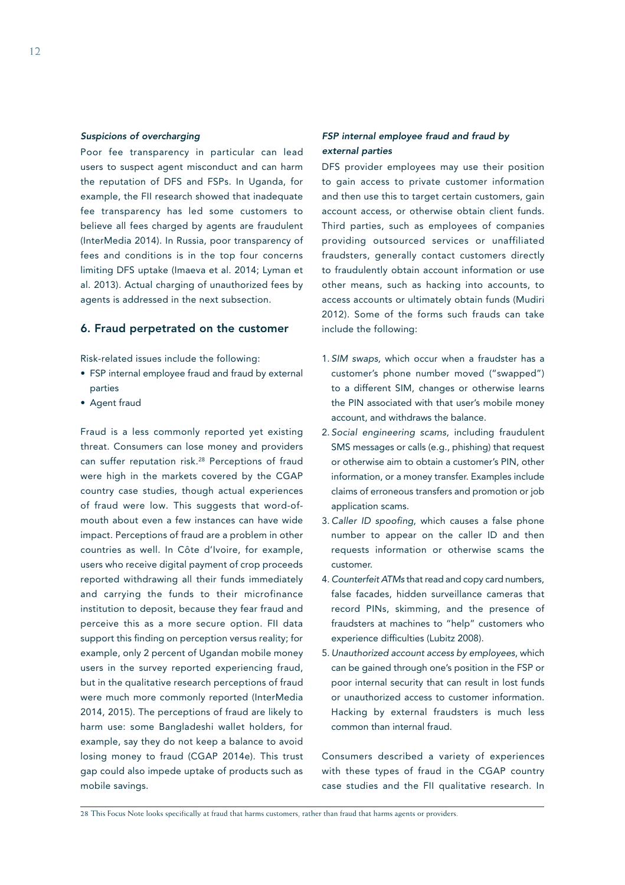### *Suspicions of overcharging*

Poor fee transparency in particular can lead users to suspect agent misconduct and can harm the reputation of DFS and FSPs. In Uganda, for example, the FII research showed that inadequate fee transparency has led some customers to believe all fees charged by agents are fraudulent (InterMedia 2014). In Russia, poor transparency of fees and conditions is in the top four concerns limiting DFS uptake (Imaeva et al. 2014; Lyman et al. 2013). Actual charging of unauthorized fees by agents is addressed in the next subsection.

### 6. Fraud perpetrated on the customer

Risk-related issues include the following:

- FSP internal employee fraud and fraud by external parties
- Agent fraud

Fraud is a less commonly reported yet existing threat. Consumers can lose money and providers can suffer reputation risk.28 Perceptions of fraud were high in the markets covered by the CGAP country case studies, though actual experiences of fraud were low. This suggests that word-ofmouth about even a few instances can have wide impact. Perceptions of fraud are a problem in other countries as well. In Côte d'Ivoire, for example, users who receive digital payment of crop proceeds reported withdrawing all their funds immediately and carrying the funds to their microfinance institution to deposit, because they fear fraud and perceive this as a more secure option. FII data support this finding on perception versus reality; for example, only 2 percent of Ugandan mobile money users in the survey reported experiencing fraud, but in the qualitative research perceptions of fraud were much more commonly reported (InterMedia 2014, 2015). The perceptions of fraud are likely to harm use: some Bangladeshi wallet holders, for example, say they do not keep a balance to avoid losing money to fraud (CGAP 2014e). This trust gap could also impede uptake of products such as mobile savings.

### *FSP internal employee fraud and fraud by external parties*

DFS provider employees may use their position to gain access to private customer information and then use this to target certain customers, gain account access, or otherwise obtain client funds. Third parties, such as employees of companies providing outsourced services or unaffiliated fraudsters, generally contact customers directly to fraudulently obtain account information or use other means, such as hacking into accounts, to access accounts or ultimately obtain funds (Mudiri 2012). Some of the forms such frauds can take include the following:

- 1. *SIM swaps,* which occur when a fraudster has a customer's phone number moved ("swapped") to a different SIM, changes or otherwise learns the PIN associated with that user's mobile money account, and withdraws the balance.
- 2. *Social engineering scams*, including fraudulent SMS messages or calls (e.g., phishing) that request or otherwise aim to obtain a customer's PIN, other information, or a money transfer. Examples include claims of erroneous transfers and promotion or job application scams.
- 3. *Caller ID spoofing*, which causes a false phone number to appear on the caller ID and then requests information or otherwise scams the customer.
- 4. *Counterfeit ATMs* that read and copy card numbers, false facades, hidden surveillance cameras that record PINs, skimming, and the presence of fraudsters at machines to "help" customers who experience difficulties (Lubitz 2008).
- 5. *Unauthorized account access by employees*, which can be gained through one's position in the FSP or poor internal security that can result in lost funds or unauthorized access to customer information. Hacking by external fraudsters is much less common than internal fraud.

Consumers described a variety of experiences with these types of fraud in the CGAP country case studies and the FII qualitative research. In

28 This Focus Note looks specifically at fraud that harms customers, rather than fraud that harms agents or providers.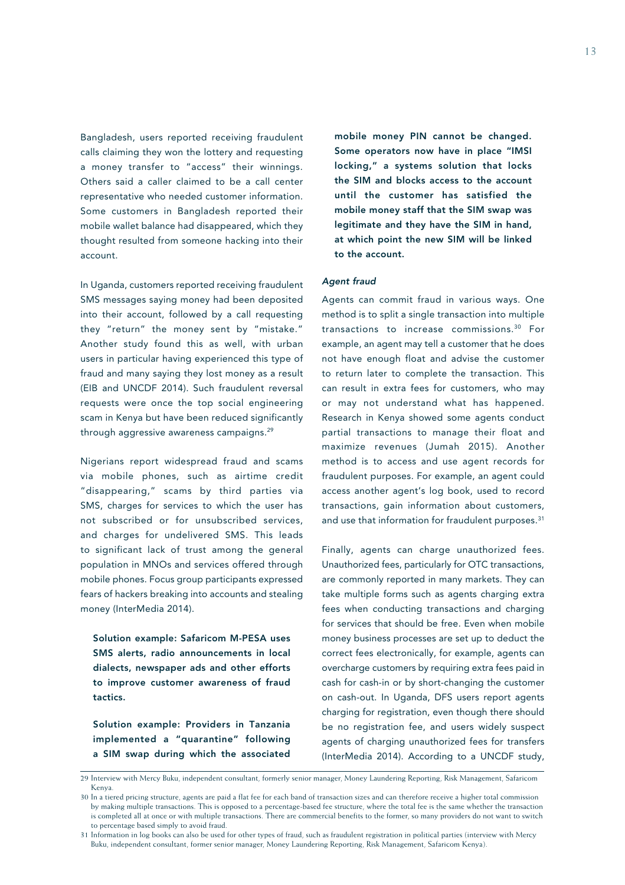Bangladesh, users reported receiving fraudulent calls claiming they won the lottery and requesting a money transfer to "access" their winnings. Others said a caller claimed to be a call center representative who needed customer information. Some customers in Bangladesh reported their mobile wallet balance had disappeared, which they thought resulted from someone hacking into their account.

In Uganda, customers reported receiving fraudulent SMS messages saying money had been deposited into their account, followed by a call requesting they "return" the money sent by "mistake." Another study found this as well, with urban users in particular having experienced this type of fraud and many saying they lost money as a result (EIB and UNCDF 2014). Such fraudulent reversal requests were once the top social engineering scam in Kenya but have been reduced significantly through aggressive awareness campaigns.<sup>29</sup>

Nigerians report widespread fraud and scams via mobile phones, such as airtime credit "disappearing," scams by third parties via SMS, charges for services to which the user has not subscribed or for unsubscribed services, and charges for undelivered SMS. This leads to significant lack of trust among the general population in MNOs and services offered through mobile phones. Focus group participants expressed fears of hackers breaking into accounts and stealing money (InterMedia 2014).

Solution example: Safaricom M-PESA uses SMS alerts, radio announcements in local dialects, newspaper ads and other efforts to improve customer awareness of fraud tactics.

Solution example: Providers in Tanzania implemented a "quarantine" following a SIM swap during which the associated

mobile money PIN cannot be changed. Some operators now have in place "IMSI locking," a systems solution that locks the SIM and blocks access to the account until the customer has satisfied the mobile money staff that the SIM swap was legitimate and they have the SIM in hand, at which point the new SIM will be linked to the account.

### *Agent fraud*

Agents can commit fraud in various ways. One method is to split a single transaction into multiple transactions to increase commissions.30 For example, an agent may tell a customer that he does not have enough float and advise the customer to return later to complete the transaction. This can result in extra fees for customers, who may or may not understand what has happened. Research in Kenya showed some agents conduct partial transactions to manage their float and maximize revenues (Jumah 2015). Another method is to access and use agent records for fraudulent purposes. For example, an agent could access another agent's log book, used to record transactions, gain information about customers, and use that information for fraudulent purposes.<sup>31</sup>

Finally, agents can charge unauthorized fees. Unauthorized fees, particularly for OTC transactions, are commonly reported in many markets. They can take multiple forms such as agents charging extra fees when conducting transactions and charging for services that should be free. Even when mobile money business processes are set up to deduct the correct fees electronically, for example, agents can overcharge customers by requiring extra fees paid in cash for cash-in or by short-changing the customer on cash-out. In Uganda, DFS users report agents charging for registration, even though there should be no registration fee, and users widely suspect agents of charging unauthorized fees for transfers (InterMedia 2014). According to a UNCDF study,

<sup>29</sup> Interview with Mercy Buku, independent consultant, formerly senior manager, Money Laundering Reporting, Risk Management, Safaricom Kenya.

<sup>30</sup> In a tiered pricing structure, agents are paid a flat fee for each band of transaction sizes and can therefore receive a higher total commission by making multiple transactions. This is opposed to a percentage-based fee structure, where the total fee is the same whether the transaction is completed all at once or with multiple transactions. There are commercial benefits to the former, so many providers do not want to switch to percentage based simply to avoid fraud.

<sup>31</sup> Information in log books can also be used for other types of fraud, such as fraudulent registration in political parties (interview with Mercy Buku, independent consultant, former senior manager, Money Laundering Reporting, Risk Management, Safaricom Kenya).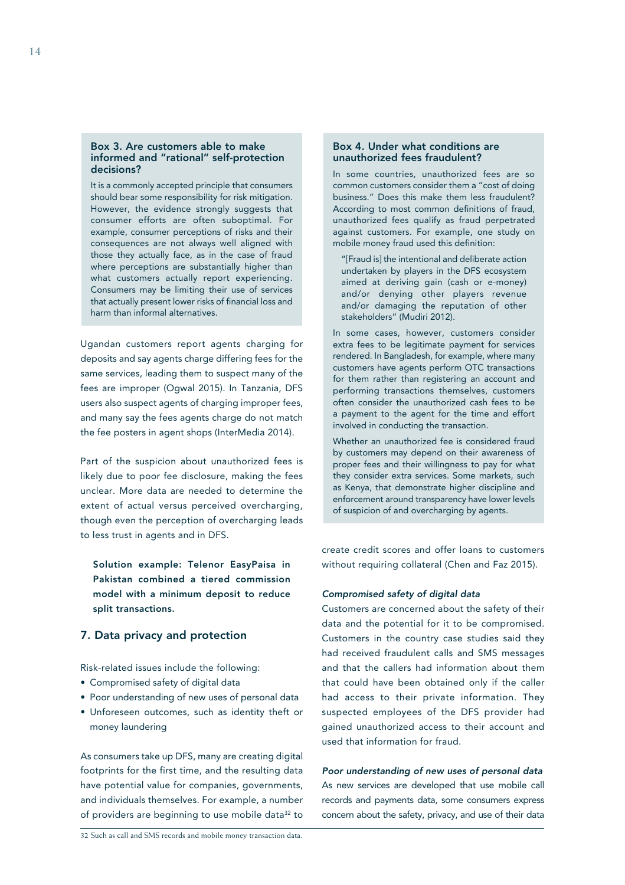### Box 3. Are customers able to make informed and "rational" self-protection decisions?

It is a commonly accepted principle that consumers should bear some responsibility for risk mitigation. However, the evidence strongly suggests that consumer efforts are often suboptimal. For example, consumer perceptions of risks and their consequences are not always well aligned with those they actually face, as in the case of fraud where perceptions are substantially higher than what customers actually report experiencing. Consumers may be limiting their use of services that actually present lower risks of financial loss and harm than informal alternatives.

Ugandan customers report agents charging for deposits and say agents charge differing fees for the same services, leading them to suspect many of the fees are improper (Ogwal 2015). In Tanzania, DFS users also suspect agents of charging improper fees, and many say the fees agents charge do not match the fee posters in agent shops (InterMedia 2014).

Part of the suspicion about unauthorized fees is likely due to poor fee disclosure, making the fees unclear. More data are needed to determine the extent of actual versus perceived overcharging, though even the perception of overcharging leads to less trust in agents and in DFS.

Solution example: Telenor EasyPaisa in Pakistan combined a tiered commission model with a minimum deposit to reduce split transactions.

### 7. Data privacy and protection

Risk-related issues include the following:

- Compromised safety of digital data
- Poor understanding of new uses of personal data
- Unforeseen outcomes, such as identity theft or money laundering

As consumers take up DFS, many are creating digital footprints for the first time, and the resulting data have potential value for companies, governments, and individuals themselves. For example, a number of providers are beginning to use mobile data<sup>32</sup> to

In some countries, unauthorized fees are so common customers consider them a "cost of doing business." Does this make them less fraudulent? According to most common definitions of fraud, unauthorized fees qualify as fraud perpetrated against customers. For example, one study on mobile money fraud used this definition:

"[Fraud is] the intentional and deliberate action undertaken by players in the DFS ecosystem aimed at deriving gain (cash or e-money) and/or denying other players revenue and/or damaging the reputation of other stakeholders" (Mudiri 2012).

In some cases, however, customers consider extra fees to be legitimate payment for services rendered. In Bangladesh, for example, where many customers have agents perform OTC transactions for them rather than registering an account and performing transactions themselves, customers often consider the unauthorized cash fees to be a payment to the agent for the time and effort involved in conducting the transaction.

Whether an unauthorized fee is considered fraud by customers may depend on their awareness of proper fees and their willingness to pay for what they consider extra services. Some markets, such as Kenya, that demonstrate higher discipline and enforcement around transparency have lower levels of suspicion of and overcharging by agents.

create credit scores and offer loans to customers without requiring collateral (Chen and Faz 2015).

### *Compromised safety of digital data*

Customers are concerned about the safety of their data and the potential for it to be compromised. Customers in the country case studies said they had received fraudulent calls and SMS messages and that the callers had information about them that could have been obtained only if the caller had access to their private information. They suspected employees of the DFS provider had gained unauthorized access to their account and used that information for fraud.

# *Poor understanding of new uses of personal data*

As new services are developed that use mobile call records and payments data, some consumers express concern about the safety, privacy, and use of their data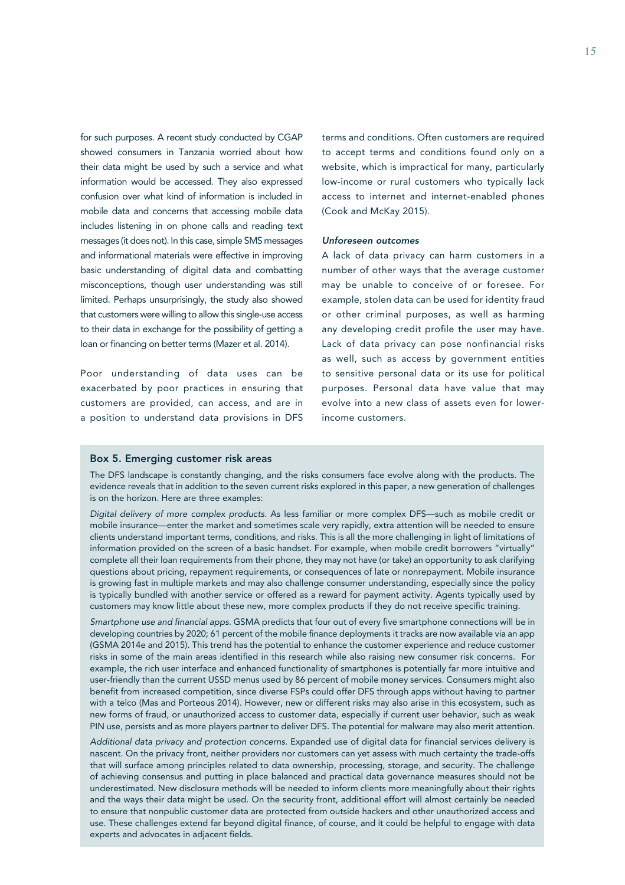for such purposes. A recent study conducted by CGAP showed consumers in Tanzania worried about how their data might be used by such a service and what information would be accessed. They also expressed confusion over what kind of information is included in mobile data and concerns that accessing mobile data includes listening in on phone calls and reading text messages (it does not). In this case, simple SMS messages and informational materials were effective in improving basic understanding of digital data and combatting misconceptions, though user understanding was still limited. Perhaps unsurprisingly, the study also showed that customers were willing to allow this single-use access to their data in exchange for the possibility of getting a loan or financing on better terms (Mazer et al. 2014).

Poor understanding of data uses can be exacerbated by poor practices in ensuring that customers are provided, can access, and are in a position to understand data provisions in DFS

terms and conditions. Often customers are required to accept terms and conditions found only on a website, which is impractical for many, particularly low-income or rural customers who typically lack access to internet and internet-enabled phones (Cook and McKay 2015).

### *Unforeseen outcomes*

A lack of data privacy can harm customers in a number of other ways that the average customer may be unable to conceive of or foresee. For example, stolen data can be used for identity fraud or other criminal purposes, as well as harming any developing credit profile the user may have. Lack of data privacy can pose nonfinancial risks as well, such as access by government entities to sensitive personal data or its use for political purposes. Personal data have value that may evolve into a new class of assets even for lowerincome customers.

### Box 5. Emerging customer risk areas

The DFS landscape is constantly changing, and the risks consumers face evolve along with the products. The evidence reveals that in addition to the seven current risks explored in this paper, a new generation of challenges is on the horizon. Here are three examples:

*Digital delivery of more complex products.* As less familiar or more complex DFS—such as mobile credit or mobile insurance—enter the market and sometimes scale very rapidly, extra attention will be needed to ensure clients understand important terms, conditions, and risks. This is all the more challenging in light of limitations of information provided on the screen of a basic handset. For example, when mobile credit borrowers "virtually" complete all their loan requirements from their phone, they may not have (or take) an opportunity to ask clarifying questions about pricing, repayment requirements, or consequences of late or nonrepayment. Mobile insurance is growing fast in multiple markets and may also challenge consumer understanding, especially since the policy is typically bundled with another service or offered as a reward for payment activity. Agents typically used by customers may know little about these new, more complex products if they do not receive specific training.

*Smartphone use and financial apps.* GSMA predicts that four out of every five smartphone connections will be in developing countries by 2020; 61 percent of the mobile finance deployments it tracks are now available via an app (GSMA 2014e and 2015). This trend has the potential to enhance the customer experience and reduce customer risks in some of the main areas identified in this research while also raising new consumer risk concerns*.* For example, the rich user interface and enhanced functionality of smartphones is potentially far more intuitive and user-friendly than the current USSD menus used by 86 percent of mobile money services. Consumers might also benefit from increased competition, since diverse FSPs could offer DFS through apps without having to partner with a telco (Mas and Porteous 2014). However, new or different risks may also arise in this ecosystem, such as new forms of fraud, or unauthorized access to customer data, especially if current user behavior, such as weak PIN use, persists and as more players partner to deliver DFS. The potential for malware may also merit attention.

*Additional data privacy and protection concerns.* Expanded use of digital data for financial services delivery is nascent. On the privacy front, neither providers nor customers can yet assess with much certainty the trade-offs that will surface among principles related to data ownership, processing, storage, and security. The challenge of achieving consensus and putting in place balanced and practical data governance measures should not be underestimated. New disclosure methods will be needed to inform clients more meaningfully about their rights and the ways their data might be used. On the security front, additional effort will almost certainly be needed to ensure that nonpublic customer data are protected from outside hackers and other unauthorized access and use. These challenges extend far beyond digital finance, of course, and it could be helpful to engage with data experts and advocates in adjacent fields.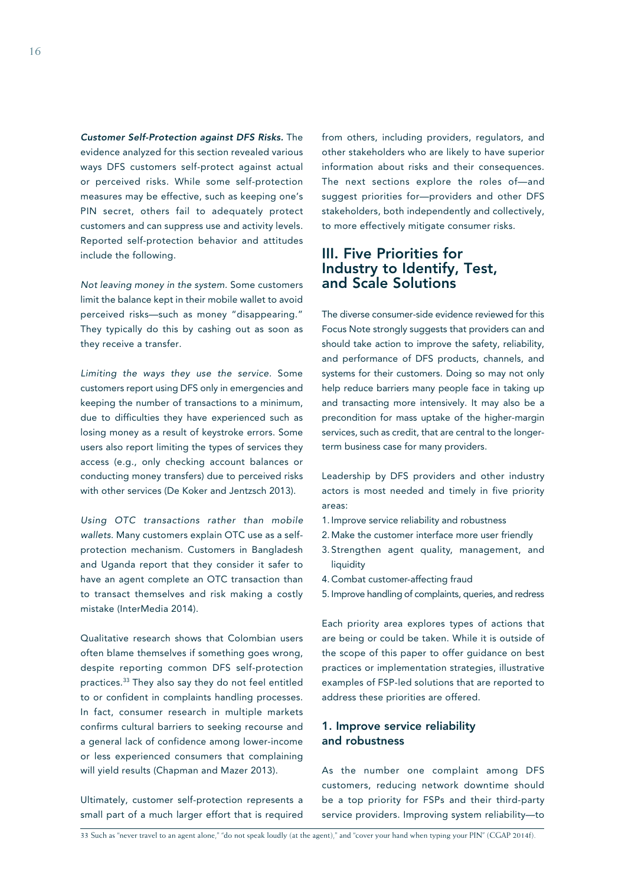*Customer Self-Protection against DFS Risks.* The evidence analyzed for this section revealed various ways DFS customers self-protect against actual or perceived risks. While some self-protection measures may be effective, such as keeping one's PIN secret, others fail to adequately protect customers and can suppress use and activity levels. Reported self-protection behavior and attitudes include the following.

*Not leaving money in the system.* Some customers limit the balance kept in their mobile wallet to avoid perceived risks—such as money "disappearing." They typically do this by cashing out as soon as they receive a transfer.

*Limiting the ways they use the service.* Some customers report using DFS only in emergencies and keeping the number of transactions to a minimum, due to difficulties they have experienced such as losing money as a result of keystroke errors. Some users also report limiting the types of services they access (e.g., only checking account balances or conducting money transfers) due to perceived risks with other services (De Koker and Jentzsch 2013).

*Using OTC transactions rather than mobile wallets.* Many customers explain OTC use as a selfprotection mechanism. Customers in Bangladesh and Uganda report that they consider it safer to have an agent complete an OTC transaction than to transact themselves and risk making a costly mistake (InterMedia 2014).

Qualitative research shows that Colombian users often blame themselves if something goes wrong, despite reporting common DFS self-protection practices.33 They also say they do not feel entitled to or confident in complaints handling processes. In fact, consumer research in multiple markets confirms cultural barriers to seeking recourse and a general lack of confidence among lower-income or less experienced consumers that complaining will yield results (Chapman and Mazer 2013).

Ultimately, customer self-protection represents a small part of a much larger effort that is required

from others, including providers, regulators, and other stakeholders who are likely to have superior information about risks and their consequences. The next sections explore the roles of—and suggest priorities for—providers and other DFS stakeholders, both independently and collectively, to more effectively mitigate consumer risks.

# III. Five Priorities for Industry to Identify, Test, and Scale Solutions

The diverse consumer-side evidence reviewed for this Focus Note strongly suggests that providers can and should take action to improve the safety, reliability, and performance of DFS products, channels, and systems for their customers. Doing so may not only help reduce barriers many people face in taking up and transacting more intensively. It may also be a precondition for mass uptake of the higher-margin services, such as credit, that are central to the longerterm business case for many providers.

Leadership by DFS providers and other industry actors is most needed and timely in five priority areas:

- 1. Improve service reliability and robustness
- 2. Make the customer interface more user friendly
- 3. Strengthen agent quality, management, and liquidity
- 4. Combat customer-affecting fraud
- 5. Improve handling of complaints, queries, and redress

Each priority area explores types of actions that are being or could be taken. While it is outside of the scope of this paper to offer guidance on best practices or implementation strategies, illustrative examples of FSP-led solutions that are reported to address these priorities are offered.

### 1. Improve service reliability and robustness

As the number one complaint among DFS customers, reducing network downtime should be a top priority for FSPs and their third-party service providers. Improving system reliability—to

33 Such as "never travel to an agent alone," "do not speak loudly (at the agent)," and "cover your hand when typing your PIN" (CGAP 2014f).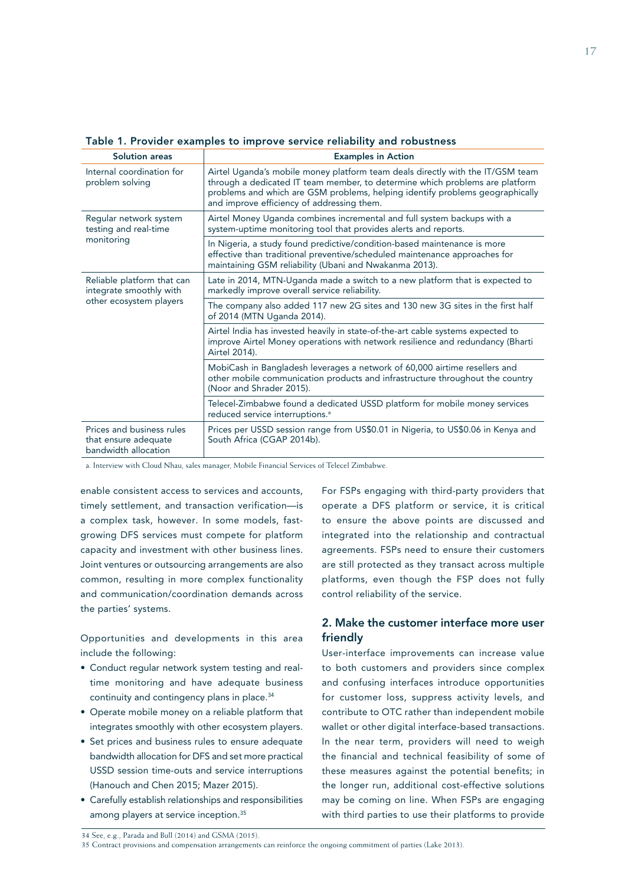| <b>Solution areas</b>                                                            | <b>Examples in Action</b>                                                                                                                                                                                                                                                                     |
|----------------------------------------------------------------------------------|-----------------------------------------------------------------------------------------------------------------------------------------------------------------------------------------------------------------------------------------------------------------------------------------------|
| Internal coordination for<br>problem solving                                     | Airtel Uganda's mobile money platform team deals directly with the IT/GSM team<br>through a dedicated IT team member, to determine which problems are platform<br>problems and which are GSM problems, helping identify problems geographically<br>and improve efficiency of addressing them. |
| Regular network system<br>testing and real-time<br>monitoring                    | Airtel Money Uganda combines incremental and full system backups with a<br>system-uptime monitoring tool that provides alerts and reports.                                                                                                                                                    |
|                                                                                  | In Nigeria, a study found predictive/condition-based maintenance is more<br>effective than traditional preventive/scheduled maintenance approaches for<br>maintaining GSM reliability (Ubani and Nwakanma 2013).                                                                              |
| Reliable platform that can<br>integrate smoothly with<br>other ecosystem players | Late in 2014, MTN-Uganda made a switch to a new platform that is expected to<br>markedly improve overall service reliability.                                                                                                                                                                 |
|                                                                                  | The company also added 117 new 2G sites and 130 new 3G sites in the first half<br>of 2014 (MTN Uganda 2014).                                                                                                                                                                                  |
|                                                                                  | Airtel India has invested heavily in state-of-the-art cable systems expected to<br>improve Airtel Money operations with network resilience and redundancy (Bharti<br>Airtel 2014).                                                                                                            |
|                                                                                  | MobiCash in Bangladesh leverages a network of 60,000 airtime resellers and<br>other mobile communication products and infrastructure throughout the country<br>(Noor and Shrader 2015).                                                                                                       |
|                                                                                  | Telecel-Zimbabwe found a dedicated USSD platform for mobile money services<br>reduced service interruptions. <sup>a</sup>                                                                                                                                                                     |
| Prices and business rules<br>that ensure adequate<br>bandwidth allocation        | Prices per USSD session range from US\$0.01 in Nigeria, to US\$0.06 in Kenya and<br>South Africa (CGAP 2014b).                                                                                                                                                                                |

Table 1. Provider examples to improve service reliability and robustness

a. Interview with Cloud Nhau, sales manager, Mobile Financial Services of Telecel Zimbabwe.

enable consistent access to services and accounts, timely settlement, and transaction verification—is a complex task, however. In some models, fastgrowing DFS services must compete for platform capacity and investment with other business lines. Joint ventures or outsourcing arrangements are also common, resulting in more complex functionality and communication/coordination demands across the parties' systems.

Opportunities and developments in this area include the following:

- Conduct regular network system testing and realtime monitoring and have adequate business continuity and contingency plans in place.<sup>34</sup>
- Operate mobile money on a reliable platform that integrates smoothly with other ecosystem players.
- Set prices and business rules to ensure adequate bandwidth allocation for DFS and set more practical USSD session time-outs and service interruptions (Hanouch and Chen 2015; Mazer 2015).
- Carefully establish relationships and responsibilities among players at service inception.<sup>35</sup>

For FSPs engaging with third-party providers that operate a DFS platform or service, it is critical to ensure the above points are discussed and integrated into the relationship and contractual agreements. FSPs need to ensure their customers are still protected as they transact across multiple platforms, even though the FSP does not fully control reliability of the service.

### 2. Make the customer interface more user friendly

User-interface improvements can increase value to both customers and providers since complex and confusing interfaces introduce opportunities for customer loss, suppress activity levels, and contribute to OTC rather than independent mobile wallet or other digital interface-based transactions. In the near term, providers will need to weigh the financial and technical feasibility of some of these measures against the potential benefits; in the longer run, additional cost-effective solutions may be coming on line. When FSPs are engaging with third parties to use their platforms to provide

<sup>35</sup> Contract provisions and compensation arrangements can reinforce the ongoing commitment of parties (Lake 2013).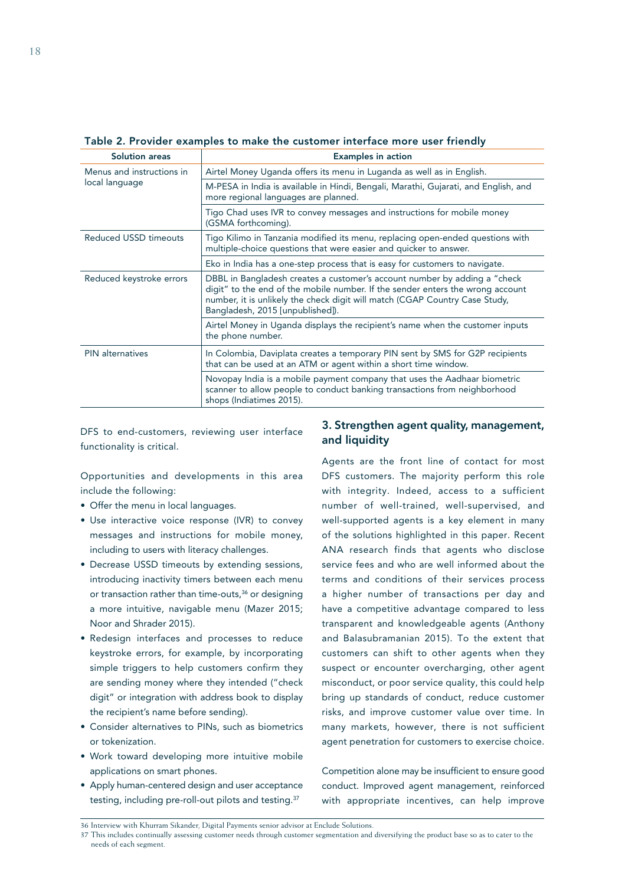| <b>Solution areas</b>                       | <b>Examples in action</b>                                                                                                                                                                                                                                                       |  |
|---------------------------------------------|---------------------------------------------------------------------------------------------------------------------------------------------------------------------------------------------------------------------------------------------------------------------------------|--|
| Menus and instructions in<br>local language | Airtel Money Uganda offers its menu in Luganda as well as in English.                                                                                                                                                                                                           |  |
|                                             | M-PESA in India is available in Hindi, Bengali, Marathi, Gujarati, and English, and<br>more regional languages are planned.                                                                                                                                                     |  |
|                                             | Tigo Chad uses IVR to convey messages and instructions for mobile money<br>(GSMA forthcoming).                                                                                                                                                                                  |  |
| <b>Reduced USSD timeouts</b>                | Tigo Kilimo in Tanzania modified its menu, replacing open-ended questions with<br>multiple-choice questions that were easier and quicker to answer.                                                                                                                             |  |
|                                             | Eko in India has a one-step process that is easy for customers to navigate.                                                                                                                                                                                                     |  |
| Reduced keystroke errors                    | DBBL in Bangladesh creates a customer's account number by adding a "check"<br>digit" to the end of the mobile number. If the sender enters the wrong account<br>number, it is unlikely the check digit will match (CGAP Country Case Study,<br>Bangladesh, 2015 [unpublished]). |  |
|                                             | Airtel Money in Uganda displays the recipient's name when the customer inputs<br>the phone number.                                                                                                                                                                              |  |
| <b>PIN</b> alternatives                     | In Colombia, Daviplata creates a temporary PIN sent by SMS for G2P recipients<br>that can be used at an ATM or agent within a short time window.                                                                                                                                |  |
|                                             | Novopay India is a mobile payment company that uses the Aadhaar biometric<br>scanner to allow people to conduct banking transactions from neighborhood<br>shops (Indiatimes 2015).                                                                                              |  |

Table 2. Provider examples to make the customer interface more user friendly

DFS to end-customers, reviewing user interface functionality is critical.

Opportunities and developments in this area include the following:

- Offer the menu in local languages.
- Use interactive voice response (IVR) to convey messages and instructions for mobile money, including to users with literacy challenges.
- Decrease USSD timeouts by extending sessions, introducing inactivity timers between each menu or transaction rather than time-outs,<sup>36</sup> or designing a more intuitive, navigable menu (Mazer 2015; Noor and Shrader 2015).
- Redesign interfaces and processes to reduce keystroke errors, for example, by incorporating simple triggers to help customers confirm they are sending money where they intended ("check digit" or integration with address book to display the recipient's name before sending).
- Consider alternatives to PINs, such as biometrics or tokenization.
- Work toward developing more intuitive mobile applications on smart phones.
- Apply human-centered design and user acceptance testing, including pre-roll-out pilots and testing.37

### 3. Strengthen agent quality, management, and liquidity

Agents are the front line of contact for most DFS customers. The majority perform this role with integrity. Indeed, access to a sufficient number of well-trained, well-supervised, and well-supported agents is a key element in many of the solutions highlighted in this paper. Recent ANA research finds that agents who disclose service fees and who are well informed about the terms and conditions of their services process a higher number of transactions per day and have a competitive advantage compared to less transparent and knowledgeable agents (Anthony and Balasubramanian 2015). To the extent that customers can shift to other agents when they suspect or encounter overcharging, other agent misconduct, or poor service quality, this could help bring up standards of conduct, reduce customer risks, and improve customer value over time. In many markets, however, there is not sufficient agent penetration for customers to exercise choice.

Competition alone may be insufficient to ensure good conduct. Improved agent management, reinforced with appropriate incentives, can help improve

<sup>36</sup> Interview with Khurram Sikander, Digital Payments senior advisor at Enclude Solutions.

<sup>37</sup> This includes continually assessing customer needs through customer segmentation and diversifying the product base so as to cater to the needs of each segment.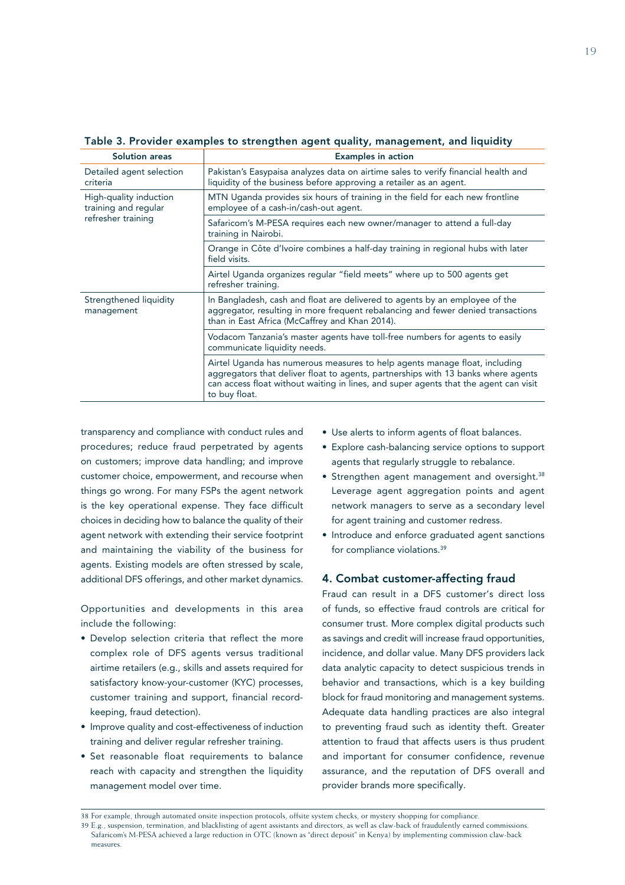| <b>Solution areas</b>                                                | <b>Examples in action</b>                                                                                                                                                                                                                                                |  |  |  |
|----------------------------------------------------------------------|--------------------------------------------------------------------------------------------------------------------------------------------------------------------------------------------------------------------------------------------------------------------------|--|--|--|
| Detailed agent selection<br>criteria                                 | Pakistan's Easypaisa analyzes data on airtime sales to verify financial health and<br>liquidity of the business before approving a retailer as an agent.                                                                                                                 |  |  |  |
| High-quality induction<br>training and regular<br>refresher training | MTN Uganda provides six hours of training in the field for each new frontline<br>employee of a cash-in/cash-out agent.                                                                                                                                                   |  |  |  |
|                                                                      | Safaricom's M-PESA requires each new owner/manager to attend a full-day<br>training in Nairobi.                                                                                                                                                                          |  |  |  |
|                                                                      | Orange in Côte d'Ivoire combines a half-day training in regional hubs with later<br>field visits.                                                                                                                                                                        |  |  |  |
|                                                                      | Airtel Uganda organizes regular "field meets" where up to 500 agents get<br>refresher training.                                                                                                                                                                          |  |  |  |
| Strengthened liquidity<br>management                                 | In Bangladesh, cash and float are delivered to agents by an employee of the<br>aggregator, resulting in more frequent rebalancing and fewer denied transactions<br>than in East Africa (McCaffrey and Khan 2014).                                                        |  |  |  |
|                                                                      | Vodacom Tanzania's master agents have toll-free numbers for agents to easily<br>communicate liquidity needs.                                                                                                                                                             |  |  |  |
|                                                                      | Airtel Uganda has numerous measures to help agents manage float, including<br>aggregators that deliver float to agents, partnerships with 13 banks where agents<br>can access float without waiting in lines, and super agents that the agent can visit<br>to buy float. |  |  |  |

Table 3. Provider examples to strengthen agent quality, management, and liquidity

transparency and compliance with conduct rules and procedures; reduce fraud perpetrated by agents on customers; improve data handling; and improve customer choice, empowerment, and recourse when things go wrong. For many FSPs the agent network is the key operational expense. They face difficult choices in deciding how to balance the quality of their agent network with extending their service footprint and maintaining the viability of the business for agents. Existing models are often stressed by scale, additional DFS offerings, and other market dynamics.

Opportunities and developments in this area include the following:

- Develop selection criteria that reflect the more complex role of DFS agents versus traditional airtime retailers (e.g., skills and assets required for satisfactory know-your-customer (KYC) processes, customer training and support, financial recordkeeping, fraud detection).
- Improve quality and cost-effectiveness of induction training and deliver regular refresher training.
- Set reasonable float requirements to balance reach with capacity and strengthen the liquidity management model over time.
- Use alerts to inform agents of float balances.
- Explore cash-balancing service options to support agents that regularly struggle to rebalance.
- Strengthen agent management and oversight.<sup>38</sup> Leverage agent aggregation points and agent network managers to serve as a secondary level for agent training and customer redress.
- Introduce and enforce graduated agent sanctions for compliance violations.39

### 4. Combat customer-affecting fraud

Fraud can result in a DFS customer's direct loss of funds, so effective fraud controls are critical for consumer trust. More complex digital products such as savings and credit will increase fraud opportunities, incidence, and dollar value. Many DFS providers lack data analytic capacity to detect suspicious trends in behavior and transactions, which is a key building block for fraud monitoring and management systems. Adequate data handling practices are also integral to preventing fraud such as identity theft. Greater attention to fraud that affects users is thus prudent and important for consumer confidence, revenue assurance, and the reputation of DFS overall and provider brands more specifically.

39 E.g., suspension, termination, and blacklisting of agent assistants and directors, as well as claw-back of fraudulently earned commissions. Safaricom's M-PESA achieved a large reduction in OTC (known as "direct deposit" in Kenya) by implementing commission claw-back measures.

<sup>38</sup> For example, through automated onsite inspection protocols, offsite system checks, or mystery shopping for compliance.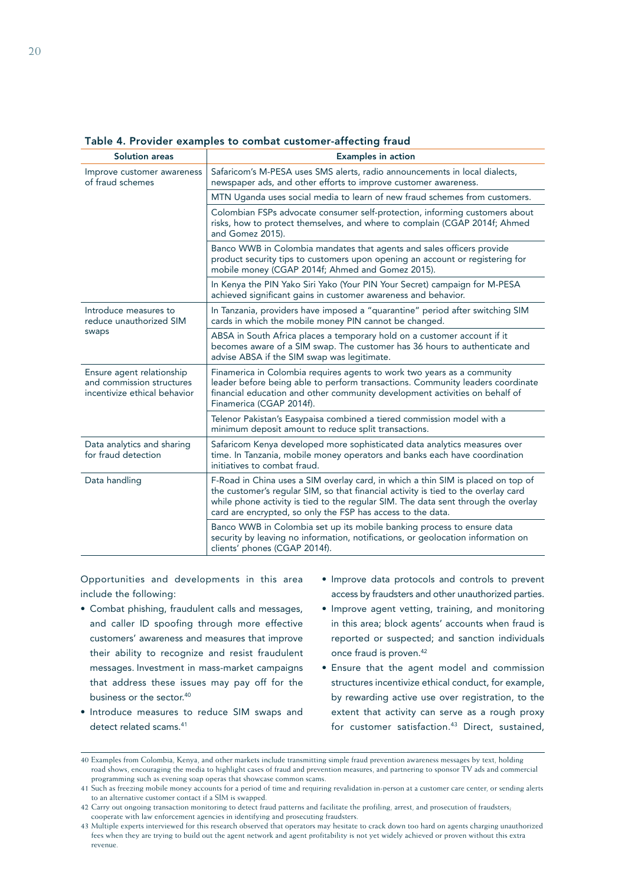| <b>Solution areas</b>                                                                  | <b>Examples in action</b>                                                                                                                                                                                                                                                                                                   |  |  |  |  |
|----------------------------------------------------------------------------------------|-----------------------------------------------------------------------------------------------------------------------------------------------------------------------------------------------------------------------------------------------------------------------------------------------------------------------------|--|--|--|--|
| Improve customer awareness<br>of fraud schemes                                         | Safaricom's M-PESA uses SMS alerts, radio announcements in local dialects,<br>newspaper ads, and other efforts to improve customer awareness.                                                                                                                                                                               |  |  |  |  |
|                                                                                        | MTN Uganda uses social media to learn of new fraud schemes from customers.                                                                                                                                                                                                                                                  |  |  |  |  |
|                                                                                        | Colombian FSPs advocate consumer self-protection, informing customers about<br>risks, how to protect themselves, and where to complain (CGAP 2014f; Ahmed<br>and Gomez 2015).                                                                                                                                               |  |  |  |  |
|                                                                                        | Banco WWB in Colombia mandates that agents and sales officers provide<br>product security tips to customers upon opening an account or registering for<br>mobile money (CGAP 2014f; Ahmed and Gomez 2015).                                                                                                                  |  |  |  |  |
|                                                                                        | In Kenya the PIN Yako Siri Yako (Your PIN Your Secret) campaign for M-PESA<br>achieved significant gains in customer awareness and behavior.                                                                                                                                                                                |  |  |  |  |
| Introduce measures to<br>reduce unauthorized SIM                                       | In Tanzania, providers have imposed a "quarantine" period after switching SIM<br>cards in which the mobile money PIN cannot be changed.                                                                                                                                                                                     |  |  |  |  |
| swaps                                                                                  | ABSA in South Africa places a temporary hold on a customer account if it<br>becomes aware of a SIM swap. The customer has 36 hours to authenticate and<br>advise ABSA if the SIM swap was legitimate.                                                                                                                       |  |  |  |  |
| Ensure agent relationship<br>and commission structures<br>incentivize ethical behavior | Finamerica in Colombia requires agents to work two years as a community<br>leader before being able to perform transactions. Community leaders coordinate<br>financial education and other community development activities on behalf of<br>Finamerica (CGAP 2014f).                                                        |  |  |  |  |
|                                                                                        | Telenor Pakistan's Easypaisa combined a tiered commission model with a<br>minimum deposit amount to reduce split transactions.                                                                                                                                                                                              |  |  |  |  |
| Data analytics and sharing<br>for fraud detection                                      | Safaricom Kenya developed more sophisticated data analytics measures over<br>time. In Tanzania, mobile money operators and banks each have coordination<br>initiatives to combat fraud.                                                                                                                                     |  |  |  |  |
| Data handling                                                                          | F-Road in China uses a SIM overlay card, in which a thin SIM is placed on top of<br>the customer's regular SIM, so that financial activity is tied to the overlay card<br>while phone activity is tied to the regular SIM. The data sent through the overlay<br>card are encrypted, so only the FSP has access to the data. |  |  |  |  |
|                                                                                        | Banco WWB in Colombia set up its mobile banking process to ensure data<br>security by leaving no information, notifications, or geolocation information on<br>clients' phones (CGAP 2014f).                                                                                                                                 |  |  |  |  |

### Table 4. Provider examples to combat customer-affecting fraud

Opportunities and developments in this area include the following:

- Combat phishing, fraudulent calls and messages, and caller ID spoofing through more effective customers' awareness and measures that improve their ability to recognize and resist fraudulent messages. Investment in mass-market campaigns that address these issues may pay off for the business or the sector.<sup>40</sup>
- Introduce measures to reduce SIM swaps and detect related scams.<sup>41</sup>
- Improve data protocols and controls to prevent access by fraudsters and other unauthorized parties.
- Improve agent vetting, training, and monitoring in this area; block agents' accounts when fraud is reported or suspected; and sanction individuals once fraud is proven.<sup>42</sup>
- Ensure that the agent model and commission structures incentivize ethical conduct, for example, by rewarding active use over registration, to the extent that activity can serve as a rough proxy for customer satisfaction.<sup>43</sup> Direct, sustained,

<sup>40</sup> Examples from Colombia, Kenya, and other markets include transmitting simple fraud prevention awareness messages by text, holding road shows, encouraging the media to highlight cases of fraud and prevention measures, and partnering to sponsor TV ads and commercial programming such as evening soap operas that showcase common scams.

<sup>41</sup> Such as freezing mobile money accounts for a period of time and requiring revalidation in-person at a customer care center, or sending alerts to an alternative customer contact if a SIM is swapped.

<sup>42</sup> Carry out ongoing transaction monitoring to detect fraud patterns and facilitate the profiling, arrest, and prosecution of fraudsters; cooperate with law enforcement agencies in identifying and prosecuting fraudsters.

<sup>43</sup> Multiple experts interviewed for this research observed that operators may hesitate to crack down too hard on agents charging unauthorized fees when they are trying to build out the agent network and agent profitability is not yet widely achieved or proven without this extra revenue.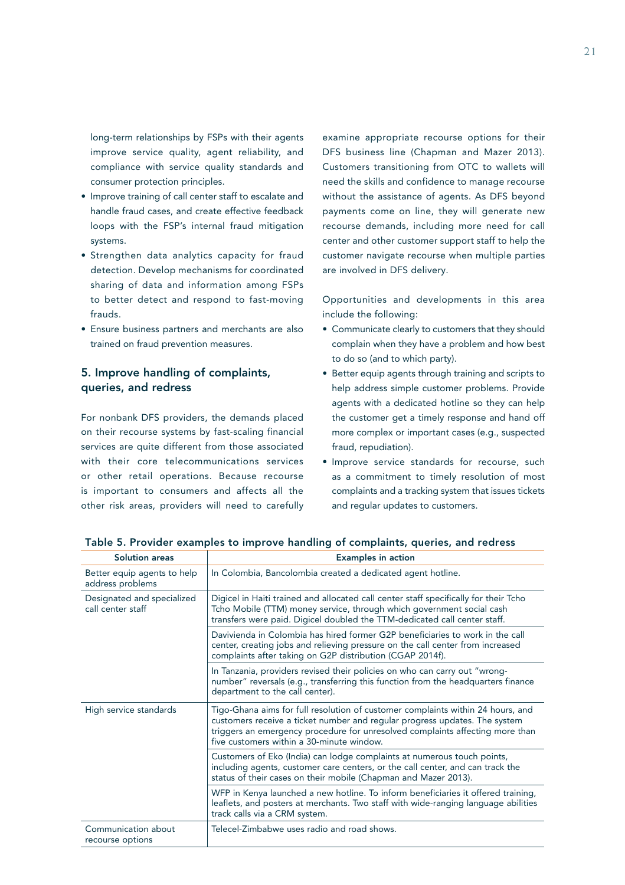long-term relationships by FSPs with their agents improve service quality, agent reliability, and compliance with service quality standards and consumer protection principles.

- Improve training of call center staff to escalate and handle fraud cases, and create effective feedback loops with the FSP's internal fraud mitigation systems.
- Strengthen data analytics capacity for fraud detection. Develop mechanisms for coordinated sharing of data and information among FSPs to better detect and respond to fast-moving frauds.
- Ensure business partners and merchants are also trained on fraud prevention measures.

## 5. Improve handling of complaints, queries, and redress

For nonbank DFS providers, the demands placed on their recourse systems by fast-scaling financial services are quite different from those associated with their core telecommunications services or other retail operations. Because recourse is important to consumers and affects all the other risk areas, providers will need to carefully examine appropriate recourse options for their DFS business line (Chapman and Mazer 2013). Customers transitioning from OTC to wallets will need the skills and confidence to manage recourse without the assistance of agents. As DFS beyond payments come on line, they will generate new recourse demands, including more need for call center and other customer support staff to help the customer navigate recourse when multiple parties are involved in DFS delivery.

Opportunities and developments in this area include the following:

- Communicate clearly to customers that they should complain when they have a problem and how best to do so (and to which party).
- Better equip agents through training and scripts to help address simple customer problems. Provide agents with a dedicated hotline so they can help the customer get a timely response and hand off more complex or important cases (e.g., suspected fraud, repudiation).
- Improve service standards for recourse, such as a commitment to timely resolution of most complaints and a tracking system that issues tickets and regular updates to customers.

| <b>Solution areas</b>                           | <b>Examples in action</b>                                                                                                                                                                                                                                                                   |  |
|-------------------------------------------------|---------------------------------------------------------------------------------------------------------------------------------------------------------------------------------------------------------------------------------------------------------------------------------------------|--|
| Better equip agents to help<br>address problems | In Colombia, Bancolombia created a dedicated agent hotline.                                                                                                                                                                                                                                 |  |
| Designated and specialized<br>call center staff | Digicel in Haiti trained and allocated call center staff specifically for their Tcho<br>Tcho Mobile (TTM) money service, through which government social cash<br>transfers were paid. Digicel doubled the TTM-dedicated call center staff.                                                  |  |
|                                                 | Davivienda in Colombia has hired former G2P beneficiaries to work in the call<br>center, creating jobs and relieving pressure on the call center from increased<br>complaints after taking on G2P distribution (CGAP 2014f).                                                                |  |
|                                                 | In Tanzania, providers revised their policies on who can carry out "wrong-<br>number" reversals (e.g., transferring this function from the headquarters finance<br>department to the call center).                                                                                          |  |
| High service standards                          | Tigo-Ghana aims for full resolution of customer complaints within 24 hours, and<br>customers receive a ticket number and regular progress updates. The system<br>triggers an emergency procedure for unresolved complaints affecting more than<br>five customers within a 30-minute window. |  |
|                                                 | Customers of Eko (India) can lodge complaints at numerous touch points,<br>including agents, customer care centers, or the call center, and can track the<br>status of their cases on their mobile (Chapman and Mazer 2013).                                                                |  |
|                                                 | WFP in Kenya launched a new hotline. To inform beneficiaries it offered training,<br>leaflets, and posters at merchants. Two staff with wide-ranging language abilities<br>track calls via a CRM system.                                                                                    |  |
| Communication about<br>recourse options         | Telecel-Zimbabwe uses radio and road shows.                                                                                                                                                                                                                                                 |  |

Table 5. Provider examples to improve handling of complaints, queries, and redress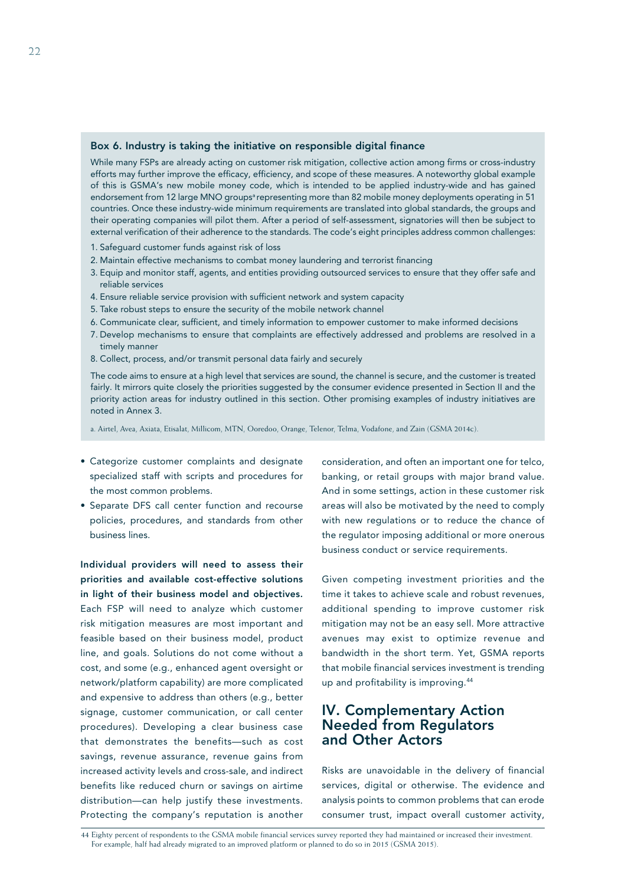### Box 6. Industry is taking the initiative on responsible digital finance

While many FSPs are already acting on customer risk mitigation, collective action among firms or cross-industry efforts may further improve the efficacy, efficiency, and scope of these measures. A noteworthy global example of this is GSMA's new mobile money code, which is intended to be applied industry-wide and has gained endorsement from 12 large MNO groups<sup>a</sup> representing more than 82 mobile money deployments operating in 51 countries. Once these industry-wide minimum requirements are translated into global standards, the groups and their operating companies will pilot them. After a period of self-assessment, signatories will then be subject to external verification of their adherence to the standards. The code's eight principles address common challenges:

- 1. Safeguard customer funds against risk of loss
- 2. Maintain effective mechanisms to combat money laundering and terrorist financing
- 3. Equip and monitor staff, agents, and entities providing outsourced services to ensure that they offer safe and reliable services
- 4. Ensure reliable service provision with sufficient network and system capacity
- 5. Take robust steps to ensure the security of the mobile network channel
- 6. Communicate clear, sufficient, and timely information to empower customer to make informed decisions
- 7. Develop mechanisms to ensure that complaints are effectively addressed and problems are resolved in a timely manner
- 8. Collect, process, and/or transmit personal data fairly and securely

The code aims to ensure at a high level that services are sound, the channel is secure, and the customer is treated fairly. It mirrors quite closely the priorities suggested by the consumer evidence presented in Section II and the priority action areas for industry outlined in this section. Other promising examples of industry initiatives are noted in Annex 3.

a. Airtel, Avea, Axiata, Etisalat, Millicom, MTN, Ooredoo, Orange, Telenor, Telma, Vodafone, and Zain (GSMA 2014c).

- Categorize customer complaints and designate specialized staff with scripts and procedures for the most common problems.
- Separate DFS call center function and recourse policies, procedures, and standards from other business lines.

Individual providers will need to assess their priorities and available cost-effective solutions in light of their business model and objectives. Each FSP will need to analyze which customer risk mitigation measures are most important and feasible based on their business model, product line, and goals. Solutions do not come without a cost, and some (e.g., enhanced agent oversight or network/platform capability) are more complicated and expensive to address than others (e.g., better signage, customer communication, or call center procedures). Developing a clear business case that demonstrates the benefits—such as cost savings, revenue assurance, revenue gains from increased activity levels and cross-sale, and indirect benefits like reduced churn or savings on airtime distribution—can help justify these investments. Protecting the company's reputation is another

consideration, and often an important one for telco, banking, or retail groups with major brand value. And in some settings, action in these customer risk areas will also be motivated by the need to comply with new regulations or to reduce the chance of the regulator imposing additional or more onerous business conduct or service requirements.

Given competing investment priorities and the time it takes to achieve scale and robust revenues, additional spending to improve customer risk mitigation may not be an easy sell. More attractive avenues may exist to optimize revenue and bandwidth in the short term. Yet, GSMA reports that mobile financial services investment is trending up and profitability is improving.<sup>44</sup>

# IV. Complementary Action Needed from Regulators and Other Actors

Risks are unavoidable in the delivery of financial services, digital or otherwise. The evidence and analysis points to common problems that can erode consumer trust, impact overall customer activity,

44 Eighty percent of respondents to the GSMA mobile financial services survey reported they had maintained or increased their investment. For example, half had already migrated to an improved platform or planned to do so in 2015 (GSMA 2015).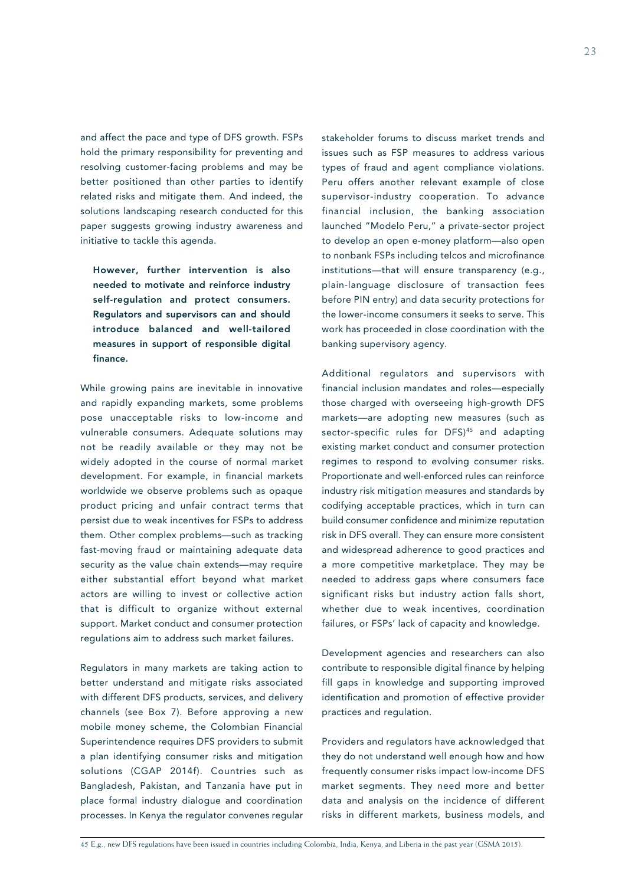and affect the pace and type of DFS growth. FSPs hold the primary responsibility for preventing and resolving customer-facing problems and may be better positioned than other parties to identify related risks and mitigate them. And indeed, the solutions landscaping research conducted for this paper suggests growing industry awareness and initiative to tackle this agenda.

However, further intervention is also needed to motivate and reinforce industry self-regulation and protect consumers. Regulators and supervisors can and should introduce balanced and well-tailored measures in support of responsible digital finance.

While growing pains are inevitable in innovative and rapidly expanding markets, some problems pose unacceptable risks to low-income and vulnerable consumers. Adequate solutions may not be readily available or they may not be widely adopted in the course of normal market development. For example, in financial markets worldwide we observe problems such as opaque product pricing and unfair contract terms that persist due to weak incentives for FSPs to address them. Other complex problems—such as tracking fast-moving fraud or maintaining adequate data security as the value chain extends—may require either substantial effort beyond what market actors are willing to invest or collective action that is difficult to organize without external support. Market conduct and consumer protection regulations aim to address such market failures.

Regulators in many markets are taking action to better understand and mitigate risks associated with different DFS products, services, and delivery channels (see Box 7). Before approving a new mobile money scheme, the Colombian Financial Superintendence requires DFS providers to submit a plan identifying consumer risks and mitigation solutions (CGAP 2014f). Countries such as Bangladesh, Pakistan, and Tanzania have put in place formal industry dialogue and coordination processes. In Kenya the regulator convenes regular

stakeholder forums to discuss market trends and issues such as FSP measures to address various types of fraud and agent compliance violations. Peru offers another relevant example of close supervisor-industry cooperation. To advance financial inclusion, the banking association launched "Modelo Peru," a private-sector project to develop an open e-money platform—also open to nonbank FSPs including telcos and microfinance institutions—that will ensure transparency (e.g., plain-language disclosure of transaction fees before PIN entry) and data security protections for the lower-income consumers it seeks to serve. This work has proceeded in close coordination with the banking supervisory agency.

Additional regulators and supervisors with financial inclusion mandates and roles—especially those charged with overseeing high-growth DFS markets—are adopting new measures (such as sector-specific rules for DFS)<sup>45</sup> and adapting existing market conduct and consumer protection regimes to respond to evolving consumer risks. Proportionate and well-enforced rules can reinforce industry risk mitigation measures and standards by codifying acceptable practices, which in turn can build consumer confidence and minimize reputation risk in DFS overall. They can ensure more consistent and widespread adherence to good practices and a more competitive marketplace. They may be needed to address gaps where consumers face significant risks but industry action falls short, whether due to weak incentives, coordination failures, or FSPs' lack of capacity and knowledge.

Development agencies and researchers can also contribute to responsible digital finance by helping fill gaps in knowledge and supporting improved identification and promotion of effective provider practices and regulation.

Providers and regulators have acknowledged that they do not understand well enough how and how frequently consumer risks impact low-income DFS market segments. They need more and better data and analysis on the incidence of different risks in different markets, business models, and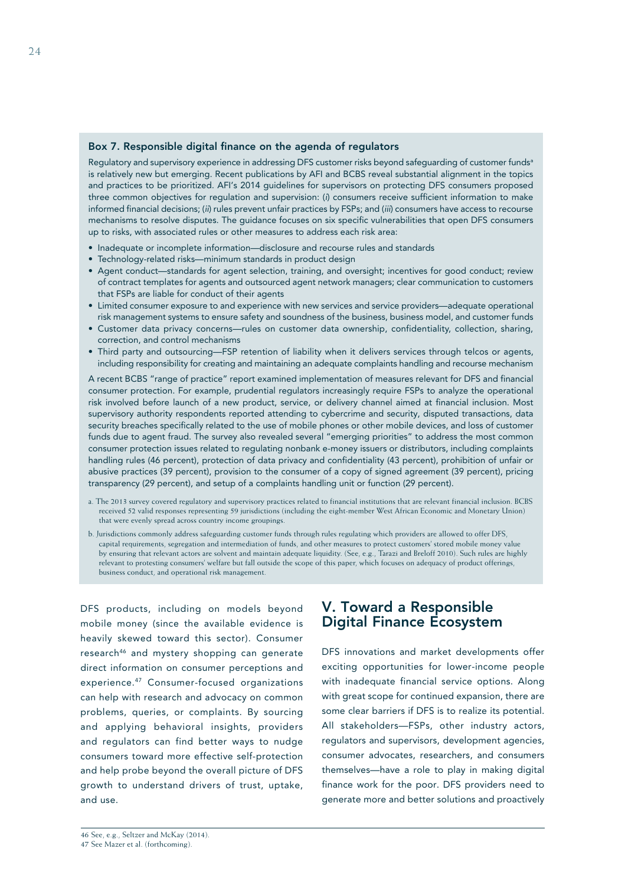### Box 7. Responsible digital finance on the agenda of regulators

Regulatory and supervisory experience in addressing DFS customer risks beyond safeguarding of customer funds<sup>a</sup> is relatively new but emerging. Recent publications by AFI and BCBS reveal substantial alignment in the topics and practices to be prioritized. AFI's 2014 guidelines for supervisors on protecting DFS consumers proposed three common objectives for regulation and supervision: (*i*) consumers receive sufficient information to make informed financial decisions; (*ii*) rules prevent unfair practices by FSPs; and (*iii*) consumers have access to recourse mechanisms to resolve disputes. The guidance focuses on six specific vulnerabilities that open DFS consumers up to risks, with associated rules or other measures to address each risk area:

- Inadequate or incomplete information—disclosure and recourse rules and standards
- Technology-related risks—minimum standards in product design
- Agent conduct—standards for agent selection, training, and oversight; incentives for good conduct; review of contract templates for agents and outsourced agent network managers; clear communication to customers that FSPs are liable for conduct of their agents
- Limited consumer exposure to and experience with new services and service providers—adequate operational risk management systems to ensure safety and soundness of the business, business model, and customer funds
- Customer data privacy concerns—rules on customer data ownership, confidentiality, collection, sharing, correction, and control mechanisms
- Third party and outsourcing—FSP retention of liability when it delivers services through telcos or agents, including responsibility for creating and maintaining an adequate complaints handling and recourse mechanism

A recent BCBS "range of practice" report examined implementation of measures relevant for DFS and financial consumer protection. For example, prudential regulators increasingly require FSPs to analyze the operational risk involved before launch of a new product, service, or delivery channel aimed at financial inclusion. Most supervisory authority respondents reported attending to cybercrime and security, disputed transactions, data security breaches specifically related to the use of mobile phones or other mobile devices, and loss of customer funds due to agent fraud. The survey also revealed several "emerging priorities" to address the most common consumer protection issues related to regulating nonbank e-money issuers or distributors, including complaints handling rules (46 percent), protection of data privacy and confidentiality (43 percent), prohibition of unfair or abusive practices (39 percent), provision to the consumer of a copy of signed agreement (39 percent), pricing transparency (29 percent), and setup of a complaints handling unit or function (29 percent).

- a. The 2013 survey covered regulatory and supervisory practices related to financial institutions that are relevant financial inclusion. BCBS received 52 valid responses representing 59 jurisdictions (including the eight-member West African Economic and Monetary Union) that were evenly spread across country income groupings.
- b. Jurisdictions commonly address safeguarding customer funds through rules regulating which providers are allowed to offer DFS, capital requirements, segregation and intermediation of funds, and other measures to protect customers' stored mobile money value by ensuring that relevant actors are solvent and maintain adequate liquidity. (See, e.g., Tarazi and Breloff 2010). Such rules are highly relevant to protesting consumers' welfare but fall outside the scope of this paper, which focuses on adequacy of product offerings, business conduct, and operational risk management.

DFS products, including on models beyond mobile money (since the available evidence is heavily skewed toward this sector). Consumer research<sup>46</sup> and mystery shopping can generate direct information on consumer perceptions and experience.47 Consumer-focused organizations can help with research and advocacy on common problems, queries, or complaints. By sourcing and applying behavioral insights, providers and regulators can find better ways to nudge consumers toward more effective self-protection and help probe beyond the overall picture of DFS growth to understand drivers of trust, uptake, and use.

# V. Toward a Responsible Digital Finance Ecosystem

DFS innovations and market developments offer exciting opportunities for lower-income people with inadequate financial service options. Along with great scope for continued expansion, there are some clear barriers if DFS is to realize its potential. All stakeholders—FSPs, other industry actors, regulators and supervisors, development agencies, consumer advocates, researchers, and consumers themselves—have a role to play in making digital finance work for the poor. DFS providers need to generate more and better solutions and proactively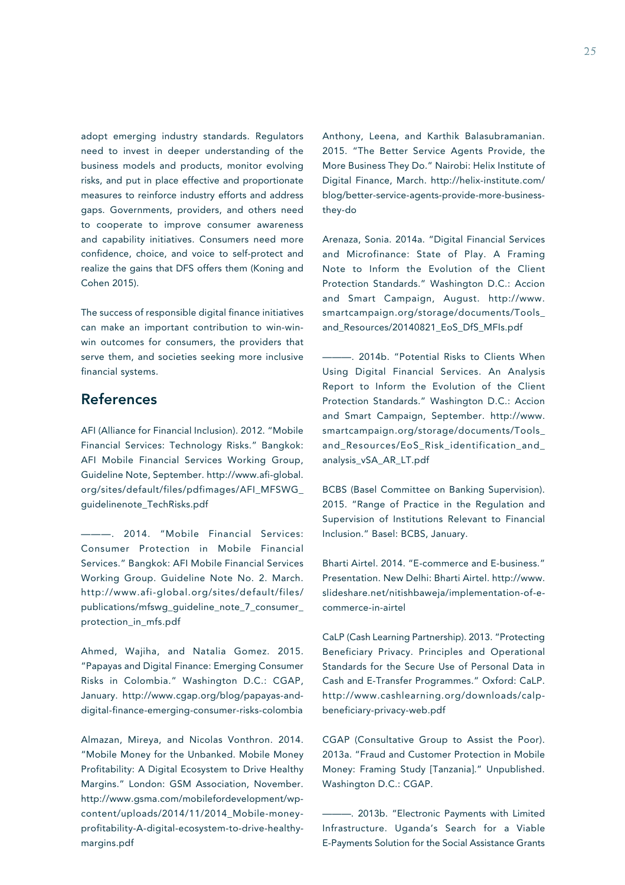adopt emerging industry standards. Regulators need to invest in deeper understanding of the business models and products, monitor evolving risks, and put in place effective and proportionate measures to reinforce industry efforts and address gaps. Governments, providers, and others need to cooperate to improve consumer awareness and capability initiatives. Consumers need more confidence, choice, and voice to self-protect and realize the gains that DFS offers them (Koning and Cohen 2015).

The success of responsible digital finance initiatives can make an important contribution to win-winwin outcomes for consumers, the providers that serve them, and societies seeking more inclusive financial systems.

# References

AFI (Alliance for Financial Inclusion). 2012. "Mobile Financial Services: Technology Risks." Bangkok: AFI Mobile Financial Services Working Group, Guideline Note, September. http://www.afi-global. org/sites/default/files/pdfimages/AFI\_MFSWG\_ guidelinenote\_TechRisks.pdf

———. 2014. "Mobile Financial Services: Consumer Protection in Mobile Financial Services." Bangkok: AFI Mobile Financial Services Working Group. Guideline Note No. 2. March. http://www.afi-global.org/sites/default/files/ publications/mfswg\_guideline\_note\_7\_consumer\_ protection\_in\_mfs.pdf

Ahmed, Wajiha, and Natalia Gomez. 2015. "Papayas and Digital Finance: Emerging Consumer Risks in Colombia." Washington D.C.: CGAP, January. http://www.cgap.org/blog/papayas-anddigital-finance-emerging-consumer-risks-colombia

Almazan, Mireya, and Nicolas Vonthron. 2014. "Mobile Money for the Unbanked. Mobile Money Profitability: A Digital Ecosystem to Drive Healthy Margins." London: GSM Association, November. http://www.gsma.com/mobilefordevelopment/wpcontent/uploads/2014/11/2014\_Mobile-moneyprofitability-A-digital-ecosystem-to-drive-healthymargins.pdf

Anthony, Leena, and Karthik Balasubramanian. 2015. "The Better Service Agents Provide, the More Business They Do." Nairobi: Helix Institute of Digital Finance, March. http://helix-institute.com/ blog/better-service-agents-provide-more-businessthey-do

Arenaza, Sonia. 2014a. "Digital Financial Services and Microfinance: State of Play. A Framing Note to Inform the Evolution of the Client Protection Standards." Washington D.C.: Accion and Smart Campaign, August. http://www. smartcampaign.org/storage/documents/Tools\_ and\_Resources/20140821\_EoS\_DfS\_MFIs.pdf

———. 2014b. "Potential Risks to Clients When Using Digital Financial Services. An Analysis Report to Inform the Evolution of the Client Protection Standards." Washington D.C.: Accion and Smart Campaign, September. http://www. smartcampaign.org/storage/documents/Tools\_ and\_Resources/EoS\_Risk\_identification\_and\_ analysis\_vSA\_AR\_LT.pdf

BCBS (Basel Committee on Banking Supervision). 2015. "Range of Practice in the Regulation and Supervision of Institutions Relevant to Financial Inclusion." Basel: BCBS, January.

Bharti Airtel. 2014. "E-commerce and E-business." Presentation. New Delhi: Bharti Airtel. http://www. slideshare.net/nitishbaweja/implementation-of-ecommerce-in-airtel

CaLP (Cash Learning Partnership). 2013. "Protecting Beneficiary Privacy. Principles and Operational Standards for the Secure Use of Personal Data in Cash and E-Transfer Programmes." Oxford: CaLP. http://www.cashlearning.org/downloads/calpbeneficiary-privacy-web.pdf

CGAP (Consultative Group to Assist the Poor). 2013a. "Fraud and Customer Protection in Mobile Money: Framing Study [Tanzania]." Unpublished. Washington D.C.: CGAP.

-. 2013b. "Electronic Payments with Limited Infrastructure. Uganda's Search for a Viable E-Payments Solution for the Social Assistance Grants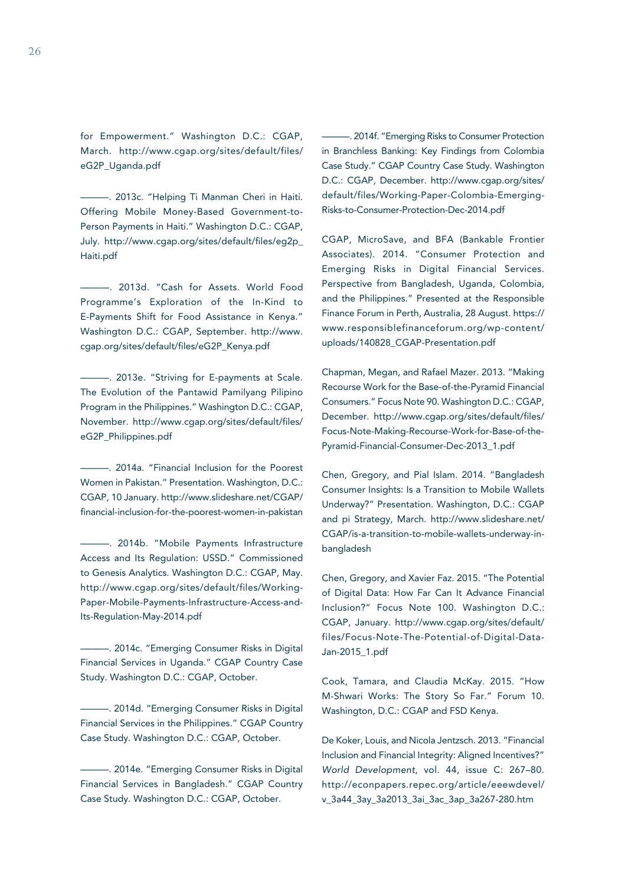for Empowerment." Washington D.C.: CGAP, March. http://www.cgap.org/sites/default/files/ eG2P\_Uganda.pdf

———. 2013c. "Helping Ti Manman Cheri in Haiti. Offering Mobile Money-Based Government-to-Person Payments in Haiti." Washington D.C.: CGAP, July. http://www.cgap.org/sites/default/files/eg2p\_ Haiti.pdf

———. 2013d. "Cash for Assets. World Food Programme's Exploration of the In-Kind to E-Payments Shift for Food Assistance in Kenya." Washington D.C.: CGAP, September. http://www. cgap.org/sites/default/files/eG2P\_Kenya.pdf

-. 2013e. "Striving for E-payments at Scale. The Evolution of the Pantawid Pamilyang Pilipino Program in the Philippines." Washington D.C.: CGAP, November. http://www.cgap.org/sites/default/files/ eG2P\_Philippines.pdf

———. 2014a. "Financial Inclusion for the Poorest Women in Pakistan." Presentation. Washington, D.C.: CGAP, 10 January. http://www.slideshare.net/CGAP/ financial-inclusion-for-the-poorest-women-in-pakistan

———. 2014b. "Mobile Payments Infrastructure Access and Its Regulation: USSD." Commissioned to Genesis Analytics. Washington D.C.: CGAP, May. http://www.cgap.org/sites/default/files/Working-Paper-Mobile-Payments-Infrastructure-Access-and-Its-Regulation-May-2014.pdf

-. 2014c. "Emerging Consumer Risks in Digital Financial Services in Uganda." CGAP Country Case Study. Washington D.C.: CGAP, October.

 $-$ . 2014d. "Emerging Consumer Risks in Digital Financial Services in the Philippines." CGAP Country Case Study. Washington D.C.: CGAP, October.

———. 2014e. "Emerging Consumer Risks in Digital Financial Services in Bangladesh." CGAP Country Case Study. Washington D.C.: CGAP, October.

-. 2014f. "Emerging Risks to Consumer Protection in Branchless Banking: Key Findings from Colombia Case Study." CGAP Country Case Study. Washington D.C.: CGAP, December. http://www.cgap.org/sites/ default/files/Working-Paper-Colombia-Emerging-Risks-to-Consumer-Protection-Dec-2014.pdf

CGAP, MicroSave, and BFA (Bankable Frontier Associates). 2014. "Consumer Protection and Emerging Risks in Digital Financial Services. Perspective from Bangladesh, Uganda, Colombia, and the Philippines." Presented at the Responsible Finance Forum in Perth, Australia, 28 August. https:// www.responsiblefinanceforum.org/wp-content/ uploads/140828\_CGAP-Presentation.pdf

Chapman, Megan, and Rafael Mazer. 2013. "Making Recourse Work for the Base-of-the-Pyramid Financial Consumers." Focus Note 90. Washington D.C.: CGAP, December. http://www.cgap.org/sites/default/files/ Focus-Note-Making-Recourse-Work-for-Base-of-the-Pyramid-Financial-Consumer-Dec-2013\_1.pdf

Chen, Gregory, and Pial Islam. 2014. "Bangladesh Consumer Insights: Is a Transition to Mobile Wallets Underway?" Presentation. Washington, D.C.: CGAP and pi Strategy, March. http://www.slideshare.net/ CGAP/is-a-transition-to-mobile-wallets-underway-inbangladesh

Chen, Gregory, and Xavier Faz. 2015. "The Potential of Digital Data: How Far Can It Advance Financial Inclusion?" Focus Note 100. Washington D.C.: CGAP, January. http://www.cgap.org/sites/default/ files/Focus-Note-The-Potential-of-Digital-Data-Jan-2015\_1.pdf

Cook, Tamara, and Claudia McKay. 2015. "How M-Shwari Works: The Story So Far." Forum 10. Washington, D.C.: CGAP and FSD Kenya.

De Koker, Louis, and Nicola Jentzsch. 2013. "Financial Inclusion and Financial Integrity: Aligned Incentives?" *World Development*, vol. 44, issue C: 267–80. http://econpapers.repec.org/article/eeewdevel/ v\_3a44\_3ay\_3a2013\_3ai\_3ac\_3ap\_3a267-280.htm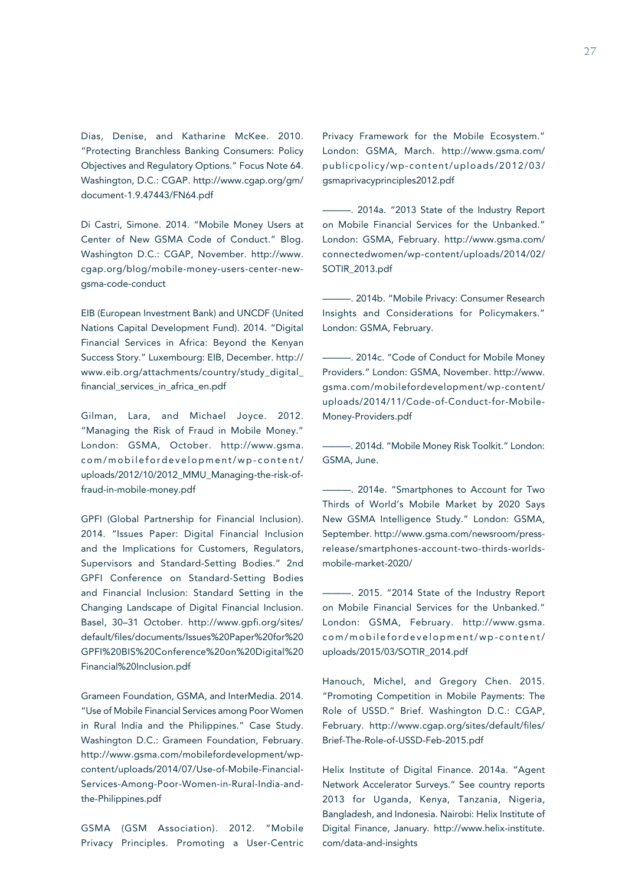Dias, Denise, and Katharine McKee. 2010. "Protecting Branchless Banking Consumers: Policy Objectives and Regulatory Options." Focus Note 64. Washington, D.C.: CGAP. http://www.cgap.org/gm/ document-1.9.47443/FN64.pdf

Di Castri, Simone. 2014. "Mobile Money Users at Center of New GSMA Code of Conduct." Blog. Washington D.C.: CGAP, November. http://www. cgap.org/blog/mobile-money-users-center-newgsma-code-conduct

EIB (European Investment Bank) and UNCDF (United Nations Capital Development Fund). 2014. "Digital Financial Services in Africa: Beyond the Kenyan Success Story." Luxembourg: EIB, December. http:// www.eib.org/attachments/country/study\_digital\_ financial services in africa en.pdf

Gilman, Lara, and Michael Joyce. 2012. "Managing the Risk of Fraud in Mobile Money." London: GSMA, October. http://www.gsma. com/mobilefordevelopment/wp-content/ uploads/2012/10/2012\_MMU\_Managing-the-risk-offraud-in-mobile-money.pdf

GPFI (Global Partnership for Financial Inclusion). 2014. "Issues Paper: Digital Financial Inclusion and the Implications for Customers, Regulators, Supervisors and Standard-Setting Bodies." 2nd GPFI Conference on Standard-Setting Bodies and Financial Inclusion: Standard Setting in the Changing Landscape of Digital Financial Inclusion. Basel, 30–31 October. http://www.gpfi.org/sites/ default/files/documents/Issues%20Paper%20for%20 GPFI%20BIS%20Conference%20on%20Digital%20 Financial%20Inclusion.pdf

Grameen Foundation, GSMA, and InterMedia. 2014. "Use of Mobile Financial Services among Poor Women in Rural India and the Philippines." Case Study. Washington D.C.: Grameen Foundation, February. http://www.gsma.com/mobilefordevelopment/wpcontent/uploads/2014/07/Use-of-Mobile-Financial-Services-Among-Poor-Women-in-Rural-India-andthe-Philippines.pdf

GSMA (GSM Association). 2012. "Mobile Privacy Principles. Promoting a User-Centric

Privacy Framework for the Mobile Ecosystem." London: GSMA, March. http://www.gsma.com/ publicpolicy/wp-content/uploads/2012/03/ gsmaprivacyprinciples2012.pdf

-. 2014a. "2013 State of the Industry Report on Mobile Financial Services for the Unbanked." London: GSMA, February. http://www.gsma.com/ connectedwomen/wp-content/uploads/2014/02/ SOTIR\_2013.pdf

———. 2014b. "Mobile Privacy: Consumer Research Insights and Considerations for Policymakers." London: GSMA, February.

- 2014c. "Code of Conduct for Mobile Money Providers." London: GSMA, November. http://www. gsma.com/mobilefordevelopment/wp-content/ uploads/2014/11/Code-of-Conduct-for-Mobile-Money-Providers.pdf

———. 2014d. "Mobile Money Risk Toolkit." London: GSMA, June.

———. 2014e. "Smartphones to Account for Two Thirds of World's Mobile Market by 2020 Says New GSMA Intelligence Study." London: GSMA, September. http://www.gsma.com/newsroom/pressrelease/smartphones-account-two-thirds-worldsmobile-market-2020/

———. 2015. "2014 State of the Industry Report on Mobile Financial Services for the Unbanked." London: GSMA, February. http://www.gsma. com/mobilefordevelopment/wp-content/ uploads/2015/03/SOTIR\_2014.pdf

Hanouch, Michel, and Gregory Chen. 2015. "Promoting Competition in Mobile Payments: The Role of USSD." Brief. Washington D.C.: CGAP, February. http://www.cgap.org/sites/default/files/ Brief-The-Role-of-USSD-Feb-2015.pdf

Helix Institute of Digital Finance. 2014a. "Agent Network Accelerator Surveys." See country reports 2013 for Uganda, Kenya, Tanzania, Nigeria, Bangladesh, and Indonesia. Nairobi: Helix Institute of Digital Finance, January. http://www.helix-institute. com/data-and-insights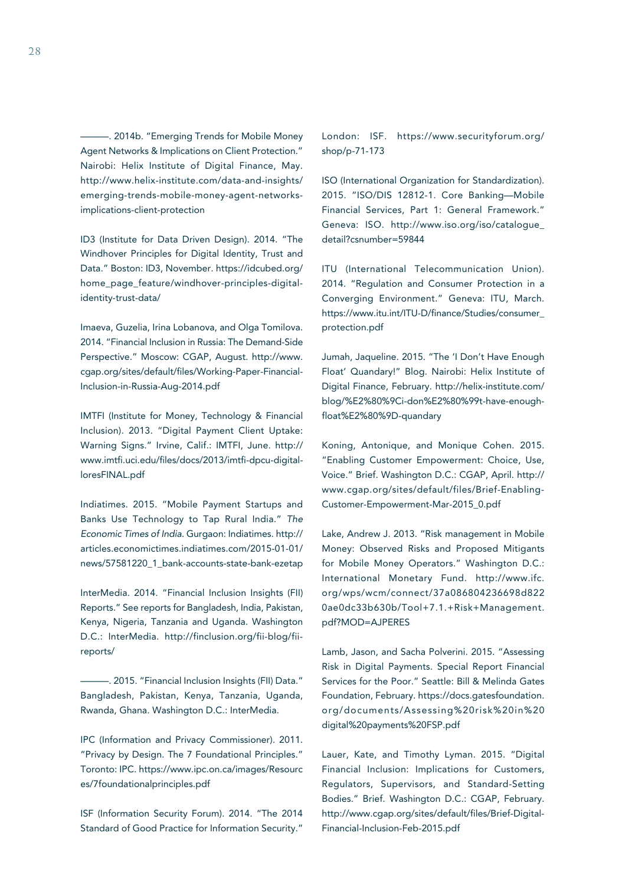-. 2014b. "Emerging Trends for Mobile Money Agent Networks & Implications on Client Protection." Nairobi: Helix Institute of Digital Finance, May. http://www.helix-institute.com/data-and-insights/ emerging-trends-mobile-money-agent-networksimplications-client-protection

ID3 (Institute for Data Driven Design). 2014. "The Windhover Principles for Digital Identity, Trust and Data." Boston: ID3, November. https://idcubed.org/ home page feature/windhover-principles-digitalidentity-trust-data/

Imaeva, Guzelia, Irina Lobanova, and Olga Tomilova. 2014. "Financial Inclusion in Russia: The Demand-Side Perspective." Moscow: CGAP, August. http://www. cgap.org/sites/default/files/Working-Paper-Financial-Inclusion-in-Russia-Aug-2014.pdf

IMTFI (Institute for Money, Technology & Financial Inclusion). 2013. "Digital Payment Client Uptake: Warning Signs." Irvine, Calif.: IMTFI, June. http:// www.imtfi.uci.edu/files/docs/2013/imtfi-dpcu-digitalloresFINAL.pdf

Indiatimes. 2015. "Mobile Payment Startups and Banks Use Technology to Tap Rural India." *The Economic Times of India*. Gurgaon: Indiatimes. http:// articles.economictimes.indiatimes.com/2015-01-01/ news/57581220\_1\_bank-accounts-state-bank-ezetap

InterMedia. 2014. "Financial Inclusion Insights (FII) Reports." See reports for Bangladesh, India, Pakistan, Kenya, Nigeria, Tanzania and Uganda. Washington D.C.: InterMedia. http://finclusion.org/fii-blog/fiireports/

———. 2015. "Financial Inclusion Insights (FII) Data." Bangladesh, Pakistan, Kenya, Tanzania, Uganda, Rwanda, Ghana. Washington D.C.: InterMedia.

IPC (Information and Privacy Commissioner). 2011. "Privacy by Design. The 7 Foundational Principles." Toronto: IPC. https://www.ipc.on.ca/images/Resourc es/7foundationalprinciples.pdf

ISF (Information Security Forum). 2014. "The 2014 Standard of Good Practice for Information Security."

London: ISF. https://www.securityforum.org/ shop/p-71-173

ISO (International Organization for Standardization). 2015. "ISO/DIS 12812-1. Core Banking—Mobile Financial Services, Part 1: General Framework." Geneva: ISO. http://www.iso.org/iso/catalogue\_ detail?csnumber=59844

ITU (International Telecommunication Union). 2014. "Regulation and Consumer Protection in a Converging Environment." Geneva: ITU, March. https://www.itu.int/ITU-D/finance/Studies/consumer\_ protection.pdf

Jumah, Jaqueline. 2015. "The 'I Don't Have Enough Float' Quandary!" Blog. Nairobi: Helix Institute of Digital Finance, February. http://helix-institute.com/ blog/%E2%80%9Ci-don%E2%80%99t-have-enoughfloat%E2%80%9D-quandary

Koning, Antonique, and Monique Cohen. 2015. "Enabling Customer Empowerment: Choice, Use, Voice." Brief. Washington D.C.: CGAP, April. http:// www.cgap.org/sites/default/files/Brief-Enabling-Customer-Empowerment-Mar-2015\_0.pdf

Lake, Andrew J. 2013. "Risk management in Mobile Money: Observed Risks and Proposed Mitigants for Mobile Money Operators." Washington D.C.: International Monetary Fund. http://www.ifc. org/wps/wcm/connect/37a086804236698d822 0ae0dc33b630b/Tool+7.1.+Risk+Management. pdf?MOD=AJPERES

Lamb, Jason, and Sacha Polverini. 2015. "Assessing Risk in Digital Payments. Special Report Financial Services for the Poor." Seattle: Bill & Melinda Gates Foundation, February. https://docs.gatesfoundation. org/documents/Assessing%20risk%20in%20 digital%20payments%20FSP.pdf

Lauer, Kate, and Timothy Lyman. 2015. "Digital Financial Inclusion: Implications for Customers, Regulators, Supervisors, and Standard-Setting Bodies." Brief. Washington D.C.: CGAP, February. http://www.cgap.org/sites/default/files/Brief-Digital-Financial-Inclusion-Feb-2015.pdf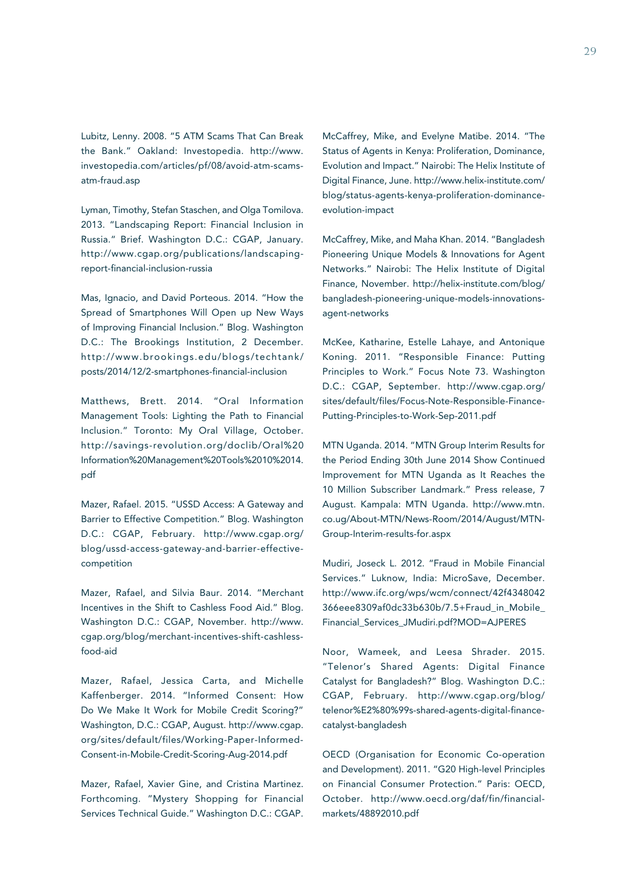Lubitz, Lenny. 2008. "5 ATM Scams That Can Break the Bank." Oakland: Investopedia. http://www. investopedia.com/articles/pf/08/avoid-atm-scamsatm-fraud.asp

Lyman, Timothy, Stefan Staschen, and Olga Tomilova. 2013. "Landscaping Report: Financial Inclusion in Russia." Brief. Washington D.C.: CGAP, January. http://www.cgap.org/publications/landscapingreport-financial-inclusion-russia

Mas, Ignacio, and David Porteous. 2014. "How the Spread of Smartphones Will Open up New Ways of Improving Financial Inclusion." Blog. Washington D.C.: The Brookings Institution, 2 December. http://www.brookings.edu/blogs/techtank/ posts/2014/12/2-smartphones-financial-inclusion

Matthews, Brett. 2014. "Oral Information Management Tools: Lighting the Path to Financial Inclusion." Toronto: My Oral Village, October. http://savings-revolution.org/doclib/Oral%20 Information%20Management%20Tools%2010%2014. pdf

Mazer, Rafael. 2015. "USSD Access: A Gateway and Barrier to Effective Competition." Blog. Washington D.C.: CGAP, February. http://www.cgap.org/ blog/ussd-access-gateway-and-barrier-effectivecompetition

Mazer, Rafael, and Silvia Baur. 2014. "Merchant Incentives in the Shift to Cashless Food Aid." Blog. Washington D.C.: CGAP, November. http://www. cgap.org/blog/merchant-incentives-shift-cashlessfood-aid

Mazer, Rafael, Jessica Carta, and Michelle Kaffenberger. 2014. "Informed Consent: How Do We Make It Work for Mobile Credit Scoring?" Washington, D.C.: CGAP, August. http://www.cgap. org/sites/default/files/Working-Paper-Informed-Consent-in-Mobile-Credit-Scoring-Aug-2014.pdf

Mazer, Rafael, Xavier Gine, and Cristina Martinez. Forthcoming. "Mystery Shopping for Financial Services Technical Guide." Washington D.C.: CGAP.

McCaffrey, Mike, and Evelyne Matibe. 2014. "The Status of Agents in Kenya: Proliferation, Dominance, Evolution and Impact." Nairobi: The Helix Institute of Digital Finance, June. http://www.helix-institute.com/ blog/status-agents-kenya-proliferation-dominanceevolution-impact

McCaffrey, Mike, and Maha Khan. 2014. "Bangladesh Pioneering Unique Models & Innovations for Agent Networks." Nairobi: The Helix Institute of Digital Finance, November. http://helix-institute.com/blog/ bangladesh-pioneering-unique-models-innovationsagent-networks

McKee, Katharine, Estelle Lahaye, and Antonique Koning. 2011. "Responsible Finance: Putting Principles to Work." Focus Note 73. Washington D.C.: CGAP, September. http://www.cgap.org/ sites/default/files/Focus-Note-Responsible-Finance-Putting-Principles-to-Work-Sep-2011.pdf

MTN Uganda. 2014. "MTN Group Interim Results for the Period Ending 30th June 2014 Show Continued Improvement for MTN Uganda as It Reaches the 10 Million Subscriber Landmark." Press release, 7 August. Kampala: MTN Uganda. http://www.mtn. co.ug/About-MTN/News-Room/2014/August/MTN-Group-Interim-results-for.aspx

Mudiri, Joseck L. 2012. "Fraud in Mobile Financial Services." Luknow, India: MicroSave, December. http://www.ifc.org/wps/wcm/connect/42f4348042 366eee8309af0dc33b630b/7.5+Fraud\_in\_Mobile\_ Financial\_Services\_JMudiri.pdf?MOD=AJPERES

Noor, Wameek, and Leesa Shrader. 2015. "Telenor's Shared Agents: Digital Finance Catalyst for Bangladesh?" Blog. Washington D.C.: CGAP, February. http://www.cgap.org/blog/ telenor%E2%80%99s-shared-agents-digital-financecatalyst-bangladesh

OECD (Organisation for Economic Co-operation and Development). 2011. "G20 High-level Principles on Financial Consumer Protection." Paris: OECD, October. http://www.oecd.org/daf/fin/financialmarkets/48892010.pdf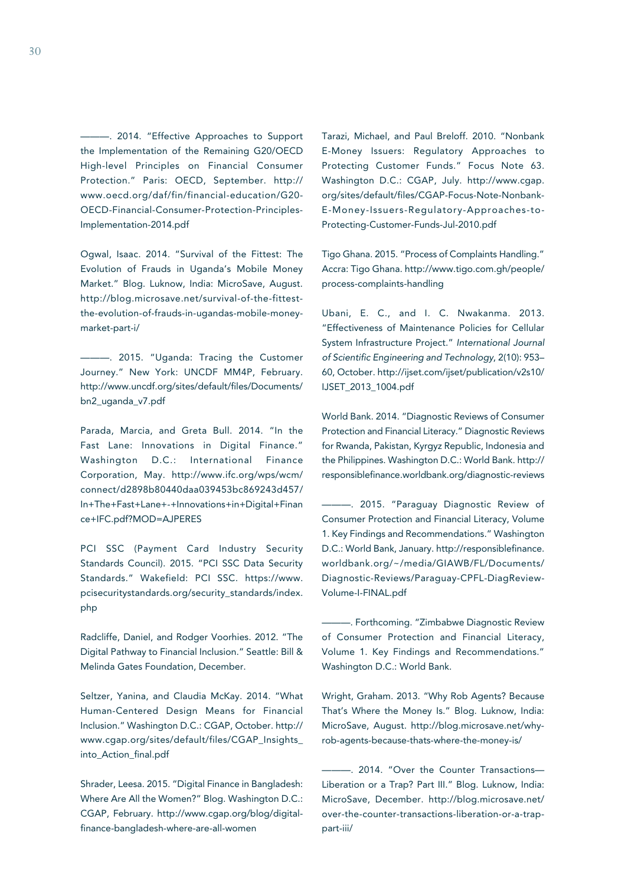-. 2014. "Effective Approaches to Support the Implementation of the Remaining G20/OECD High-level Principles on Financial Consumer Protection." Paris: OECD, September. http:// www.oecd.org/daf/fin/financial-education/G20- OECD-Financial-Consumer-Protection-Principles-Implementation-2014.pdf

Ogwal, Isaac. 2014. "Survival of the Fittest: The Evolution of Frauds in Uganda's Mobile Money Market." Blog. Luknow, India: MicroSave, August. http://blog.microsave.net/survival-of-the-fittestthe-evolution-of-frauds-in-ugandas-mobile-moneymarket-part-i/

———. 2015. "Uganda: Tracing the Customer Journey." New York: UNCDF MM4P, February. http://www.uncdf.org/sites/default/files/Documents/ bn2\_uganda\_v7.pdf

Parada, Marcia, and Greta Bull. 2014. "In the Fast Lane: Innovations in Digital Finance." Washington D.C.: International Finance Corporation, May. http://www.ifc.org/wps/wcm/ connect/d2898b80440daa039453bc869243d457/ In+The+Fast+Lane+-+Innovations+in+Digital+Finan ce+IFC.pdf?MOD=AJPERES

PCI SSC (Payment Card Industry Security Standards Council). 2015. "PCI SSC Data Security Standards." Wakefield: PCI SSC. https://www. pcisecuritystandards.org/security\_standards/index. php

Radcliffe, Daniel, and Rodger Voorhies. 2012. "The Digital Pathway to Financial Inclusion." Seattle: Bill & Melinda Gates Foundation, December.

Seltzer, Yanina, and Claudia McKay. 2014. "What Human-Centered Design Means for Financial Inclusion." Washington D.C.: CGAP, October. http:// www.cgap.org/sites/default/files/CGAP\_Insights\_ into\_Action\_final.pdf

Shrader, Leesa. 2015. "Digital Finance in Bangladesh: Where Are All the Women?" Blog. Washington D.C.: CGAP, February. http://www.cgap.org/blog/digitalfinance-bangladesh-where-are-all-women

Tarazi, Michael, and Paul Breloff. 2010. "Nonbank E-Money Issuers: Regulatory Approaches to Protecting Customer Funds." Focus Note 63. Washington D.C.: CGAP, July. http://www.cgap. org/sites/default/files/CGAP-Focus-Note-Nonbank-E-Money-Issuers-Regulatory-Approaches-to-Protecting-Customer-Funds-Jul-2010.pdf

Tigo Ghana. 2015. "Process of Complaints Handling." Accra: Tigo Ghana. http://www.tigo.com.gh/people/ process-complaints-handling

Ubani, E. C., and I. C. Nwakanma. 2013. "Effectiveness of Maintenance Policies for Cellular System Infrastructure Project." *International Journal of Scientific Engineering and Technology*, 2(10): 953– 60, October. http://ijset.com/ijset/publication/v2s10/ IJSET\_2013\_1004.pdf

World Bank. 2014. "Diagnostic Reviews of Consumer Protection and Financial Literacy." Diagnostic Reviews for Rwanda, Pakistan, Kyrgyz Republic, Indonesia and the Philippines. Washington D.C.: World Bank. http:// responsiblefinance.worldbank.org/diagnostic-reviews

———. 2015. "Paraguay Diagnostic Review of Consumer Protection and Financial Literacy, Volume 1. Key Findings and Recommendations." Washington D.C.: World Bank, January. http://responsiblefinance. worldbank.org/~/media/GIAWB/FL/Documents/ Diagnostic-Reviews/Paraguay-CPFL-DiagReview-Volume-I-FINAL.pdf

———. Forthcoming. "Zimbabwe Diagnostic Review of Consumer Protection and Financial Literacy, Volume 1. Key Findings and Recommendations." Washington D.C.: World Bank.

Wright, Graham. 2013. "Why Rob Agents? Because That's Where the Money Is." Blog. Luknow, India: MicroSave, August. http://blog.microsave.net/whyrob-agents-because-thats-where-the-money-is/

———. 2014. "Over the Counter Transactions— Liberation or a Trap? Part III." Blog. Luknow, India: MicroSave, December. http://blog.microsave.net/ over-the-counter-transactions-liberation-or-a-trappart-iii/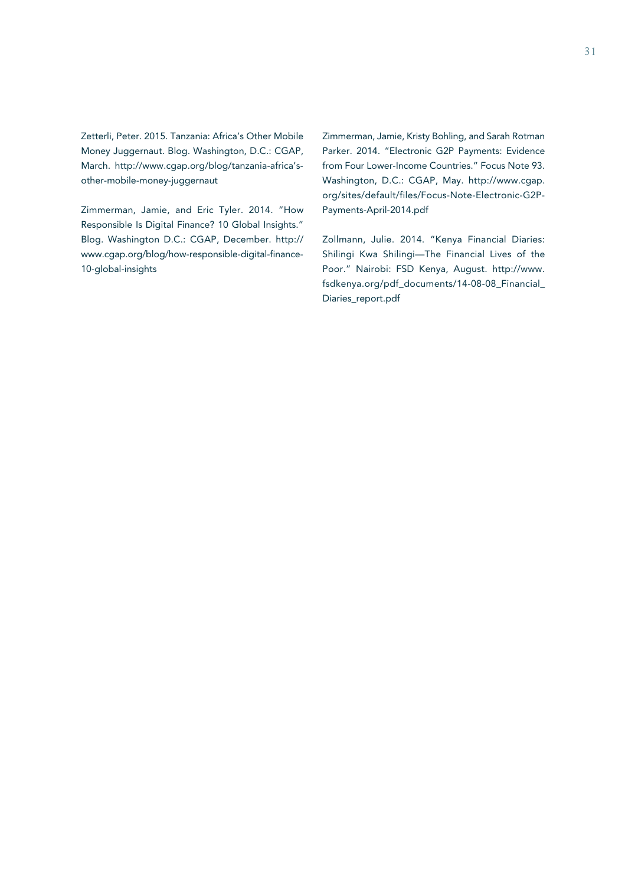Zetterli, Peter. 2015. Tanzania: Africa's Other Mobile Money Juggernaut. Blog. Washington, D.C.: CGAP, March. http://www.cgap.org/blog/tanzania-africa'sother-mobile-money-juggernaut

Zimmerman, Jamie, and Eric Tyler. 2014. "How Responsible Is Digital Finance? 10 Global Insights." Blog. Washington D.C.: CGAP, December. http:// www.cgap.org/blog/how-responsible-digital-finance-10-global-insights

Zimmerman, Jamie, Kristy Bohling, and Sarah Rotman Parker. 2014. "Electronic G2P Payments: Evidence from Four Lower-Income Countries." Focus Note 93. Washington, D.C.: CGAP, May. http://www.cgap. org/sites/default/files/Focus-Note-Electronic-G2P-Payments-April-2014.pdf

Zollmann, Julie. 2014. "Kenya Financial Diaries: Shilingi Kwa Shilingi—The Financial Lives of the Poor." Nairobi: FSD Kenya, August. http://www. fsdkenya.org/pdf\_documents/14-08-08\_Financial\_ Diaries\_report.pdf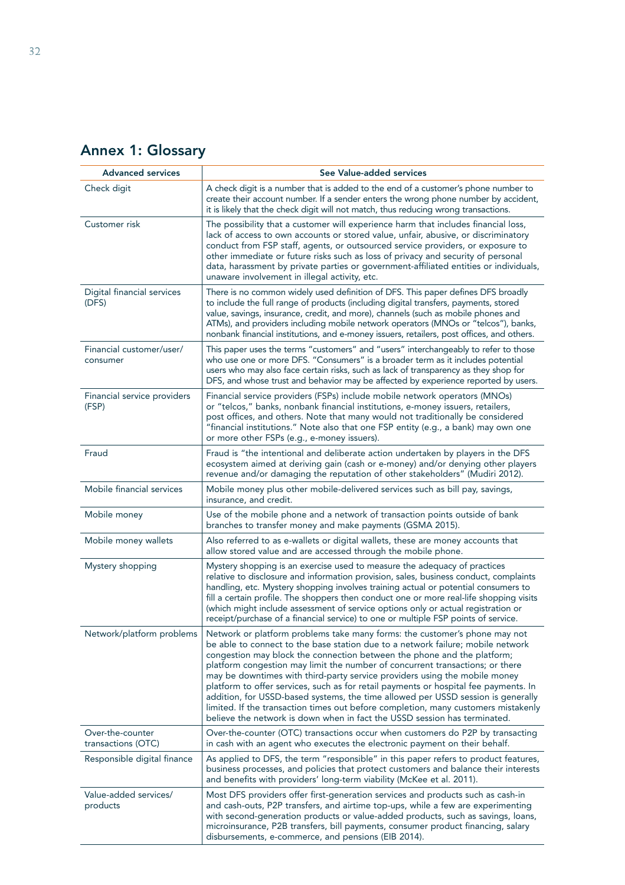| <b>Advanced services</b>               | See Value-added services                                                                                                                                                                                                                                                                                                                                                                                                                                                                                                                                                                                                                                                                                                                               |
|----------------------------------------|--------------------------------------------------------------------------------------------------------------------------------------------------------------------------------------------------------------------------------------------------------------------------------------------------------------------------------------------------------------------------------------------------------------------------------------------------------------------------------------------------------------------------------------------------------------------------------------------------------------------------------------------------------------------------------------------------------------------------------------------------------|
| Check digit                            | A check digit is a number that is added to the end of a customer's phone number to<br>create their account number. If a sender enters the wrong phone number by accident,<br>it is likely that the check digit will not match, thus reducing wrong transactions.                                                                                                                                                                                                                                                                                                                                                                                                                                                                                       |
| Customer risk                          | The possibility that a customer will experience harm that includes financial loss,<br>lack of access to own accounts or stored value, unfair, abusive, or discriminatory<br>conduct from FSP staff, agents, or outsourced service providers, or exposure to<br>other immediate or future risks such as loss of privacy and security of personal<br>data, harassment by private parties or government-affiliated entities or individuals,<br>unaware involvement in illegal activity, etc.                                                                                                                                                                                                                                                              |
| Digital financial services<br>(DFS)    | There is no common widely used definition of DFS. This paper defines DFS broadly<br>to include the full range of products (including digital transfers, payments, stored<br>value, savings, insurance, credit, and more), channels (such as mobile phones and<br>ATMs), and providers including mobile network operators (MNOs or "telcos"), banks,<br>nonbank financial institutions, and e-money issuers, retailers, post offices, and others.                                                                                                                                                                                                                                                                                                       |
| Financial customer/user/<br>consumer   | This paper uses the terms "customers" and "users" interchangeably to refer to those<br>who use one or more DFS. "Consumers" is a broader term as it includes potential<br>users who may also face certain risks, such as lack of transparency as they shop for<br>DFS, and whose trust and behavior may be affected by experience reported by users.                                                                                                                                                                                                                                                                                                                                                                                                   |
| Financial service providers<br>(FSP)   | Financial service providers (FSPs) include mobile network operators (MNOs)<br>or "telcos," banks, nonbank financial institutions, e-money issuers, retailers,<br>post offices, and others. Note that many would not traditionally be considered<br>"financial institutions." Note also that one FSP entity (e.g., a bank) may own one<br>or more other FSPs (e.g., e-money issuers).                                                                                                                                                                                                                                                                                                                                                                   |
| Fraud                                  | Fraud is "the intentional and deliberate action undertaken by players in the DFS<br>ecosystem aimed at deriving gain (cash or e-money) and/or denying other players<br>revenue and/or damaging the reputation of other stakeholders" (Mudiri 2012).                                                                                                                                                                                                                                                                                                                                                                                                                                                                                                    |
| Mobile financial services              | Mobile money plus other mobile-delivered services such as bill pay, savings,<br>insurance, and credit.                                                                                                                                                                                                                                                                                                                                                                                                                                                                                                                                                                                                                                                 |
| Mobile money                           | Use of the mobile phone and a network of transaction points outside of bank<br>branches to transfer money and make payments (GSMA 2015).                                                                                                                                                                                                                                                                                                                                                                                                                                                                                                                                                                                                               |
| Mobile money wallets                   | Also referred to as e-wallets or digital wallets, these are money accounts that<br>allow stored value and are accessed through the mobile phone.                                                                                                                                                                                                                                                                                                                                                                                                                                                                                                                                                                                                       |
| Mystery shopping                       | Mystery shopping is an exercise used to measure the adequacy of practices<br>relative to disclosure and information provision, sales, business conduct, complaints<br>handling, etc. Mystery shopping involves training actual or potential consumers to<br>fill a certain profile. The shoppers then conduct one or more real-life shopping visits<br>(which might include assessment of service options only or actual registration or<br>receipt/purchase of a financial service) to one or multiple FSP points of service.                                                                                                                                                                                                                         |
| Network/platform problems              | Network or platform problems take many forms: the customer's phone may not<br>be able to connect to the base station due to a network failure; mobile network<br>congestion may block the connection between the phone and the platform;<br>platform congestion may limit the number of concurrent transactions; or there<br>may be downtimes with third-party service providers using the mobile money<br>platform to offer services, such as for retail payments or hospital fee payments. In<br>addition, for USSD-based systems, the time allowed per USSD session is generally<br>limited. If the transaction times out before completion, many customers mistakenly<br>believe the network is down when in fact the USSD session has terminated. |
| Over-the-counter<br>transactions (OTC) | Over-the-counter (OTC) transactions occur when customers do P2P by transacting<br>in cash with an agent who executes the electronic payment on their behalf.                                                                                                                                                                                                                                                                                                                                                                                                                                                                                                                                                                                           |
| Responsible digital finance            | As applied to DFS, the term "responsible" in this paper refers to product features,<br>business processes, and policies that protect customers and balance their interests<br>and benefits with providers' long-term viability (McKee et al. 2011).                                                                                                                                                                                                                                                                                                                                                                                                                                                                                                    |
| Value-added services/<br>products      | Most DFS providers offer first-generation services and products such as cash-in<br>and cash-outs, P2P transfers, and airtime top-ups, while a few are experimenting<br>with second-generation products or value-added products, such as savings, loans,<br>microinsurance, P2B transfers, bill payments, consumer product financing, salary                                                                                                                                                                                                                                                                                                                                                                                                            |

disbursements, e-commerce, and pensions (EIB 2014).

# Annex 1: Glossary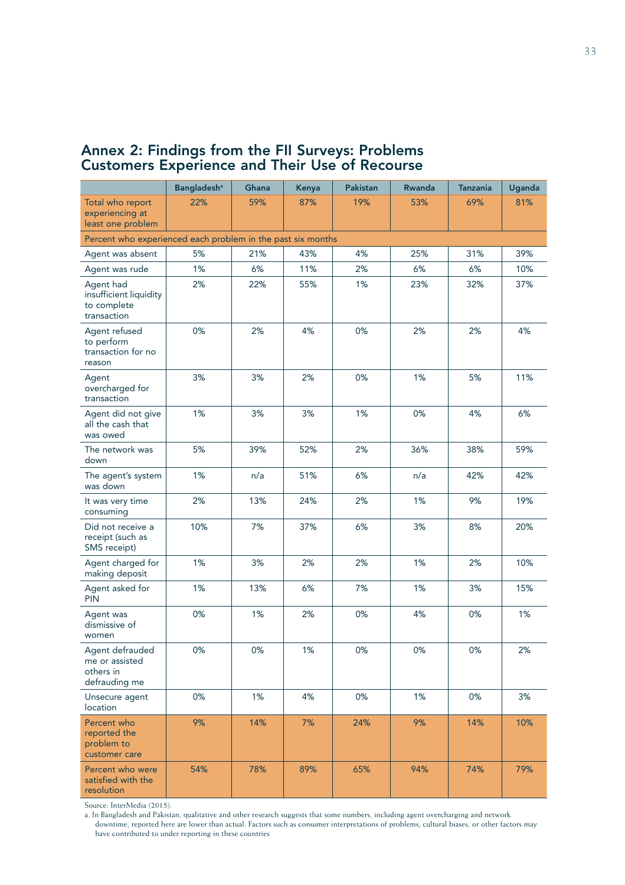# Annex 2: Findings from the FII Surveys: Problems Customers Experience and Their Use of Recourse

|                                                                   | <b>Bangladesh<sup>ª</sup></b> | Ghana | Kenya | <b>Pakistan</b> | Rwanda | <b>Tanzania</b> | <b>Uganda</b> |
|-------------------------------------------------------------------|-------------------------------|-------|-------|-----------------|--------|-----------------|---------------|
| Total who report<br>experiencing at<br>least one problem          | 22%                           | 59%   | 87%   | 19%             | 53%    | 69%             | 81%           |
| Percent who experienced each problem in the past six months       |                               |       |       |                 |        |                 |               |
| Agent was absent                                                  | 5%                            | 21%   | 43%   | 4%              | 25%    | 31%             | 39%           |
| Agent was rude                                                    | 1%                            | 6%    | 11%   | 2%              | 6%     | 6%              | 10%           |
| Agent had<br>insufficient liquidity<br>to complete<br>transaction | 2%                            | 22%   | 55%   | 1%              | 23%    | 32%             | 37%           |
| Agent refused<br>to perform<br>transaction for no<br>reason       | 0%                            | 2%    | 4%    | 0%              | 2%     | 2%              | 4%            |
| Agent<br>overcharged for<br>transaction                           | 3%                            | 3%    | 2%    | 0%              | 1%     | 5%              | 11%           |
| Agent did not give<br>all the cash that<br>was owed               | 1%                            | 3%    | 3%    | 1%              | 0%     | 4%              | 6%            |
| The network was<br>down                                           | 5%                            | 39%   | 52%   | 2%              | 36%    | 38%             | 59%           |
| The agent's system<br>was down                                    | 1%                            | n/a   | 51%   | 6%              | n/a    | 42%             | 42%           |
| It was very time<br>consuming                                     | 2%                            | 13%   | 24%   | 2%              | 1%     | 9%              | 19%           |
| Did not receive a<br>receipt (such as<br>SMS receipt)             | 10%                           | 7%    | 37%   | 6%              | 3%     | 8%              | 20%           |
| Agent charged for<br>making deposit                               | 1%                            | 3%    | 2%    | 2%              | 1%     | 2%              | 10%           |
| Agent asked for<br><b>PIN</b>                                     | 1%                            | 13%   | 6%    | 7%              | 1%     | 3%              | 15%           |
| Agent was<br>dismissive of<br>women                               | 0%                            | 1%    | 2%    | 0%              | 4%     | 0%              | 1%            |
| Agent defrauded<br>me or assisted<br>others in<br>defrauding me   | 0%                            | 0%    | 1%    | 0%              | 0%     | 0%              | 2%            |
| Unsecure agent<br>location                                        | 0%                            | 1%    | 4%    | $0\%$           | 1%     | $0\%$           | 3%            |
| Percent who<br>reported the<br>problem to<br>customer care        | 9%                            | 14%   | 7%    | 24%             | 9%     | 14%             | 10%           |
| Percent who were<br>satisfied with the<br>resolution              | 54%                           | 78%   | 89%   | 65%             | 94%    | 74%             | 79%           |

Source: InterMedia (2015).

a. In Bangladesh and Pakistan, qualitative and other research suggests that some numbers, including agent overcharging and network downtime, reported here are lower than actual. Factors such as consumer interpretations of problems, cultural biases, or other factors may have contributed to under reporting in these countries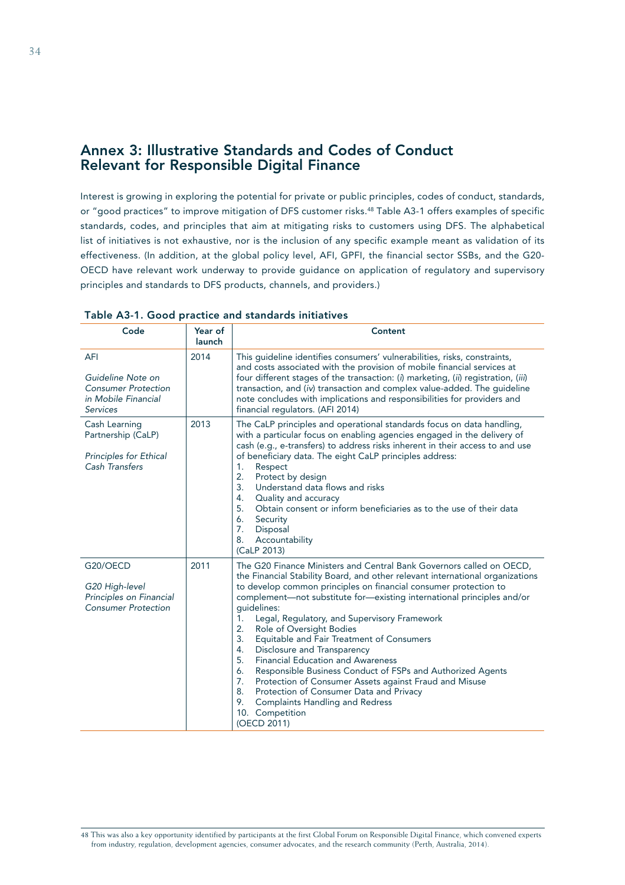# Annex 3: Illustrative Standards and Codes of Conduct Relevant for Responsible Digital Finance

Interest is growing in exploring the potential for private or public principles, codes of conduct, standards, or "good practices" to improve mitigation of DFS customer risks.<sup>48</sup> Table A3-1 offers examples of specific standards, codes, and principles that aim at mitigating risks to customers using DFS. The alphabetical list of initiatives is not exhaustive, nor is the inclusion of any specific example meant as validation of its effectiveness. (In addition, at the global policy level, AFI, GPFI, the financial sector SSBs, and the G20- OECD have relevant work underway to provide guidance on application of regulatory and supervisory principles and standards to DFS products, channels, and providers.)

| Code                                                                                                    | Year of<br>launch | Content                                                                                                                                                                                                                                                                                                                                                                                                                                                                                                                                                                                                                                                                                                                                                                                                                     |
|---------------------------------------------------------------------------------------------------------|-------------------|-----------------------------------------------------------------------------------------------------------------------------------------------------------------------------------------------------------------------------------------------------------------------------------------------------------------------------------------------------------------------------------------------------------------------------------------------------------------------------------------------------------------------------------------------------------------------------------------------------------------------------------------------------------------------------------------------------------------------------------------------------------------------------------------------------------------------------|
| <b>AFI</b><br>Guideline Note on<br><b>Consumer Protection</b><br>in Mobile Financial<br><b>Services</b> | 2014              | This guideline identifies consumers' vulnerabilities, risks, constraints,<br>and costs associated with the provision of mobile financial services at<br>four different stages of the transaction: (i) marketing, (ii) registration, (iii)<br>transaction, and (iv) transaction and complex value-added. The guideline<br>note concludes with implications and responsibilities for providers and<br>financial regulators. (AFI 2014)                                                                                                                                                                                                                                                                                                                                                                                        |
| Cash Learning<br>Partnership (CaLP)<br>Principles for Ethical<br>Cash Transfers                         | 2013              | The CaLP principles and operational standards focus on data handling,<br>with a particular focus on enabling agencies engaged in the delivery of<br>cash (e.g., e-transfers) to address risks inherent in their access to and use<br>of beneficiary data. The eight CaLP principles address:<br>Respect<br>1.<br>2.<br>Protect by design<br>3 <sub>1</sub><br>Understand data flows and risks<br>Quality and accuracy<br>4.<br>5.<br>Obtain consent or inform beneficiaries as to the use of their data<br>6.<br>Security<br>7.<br>Disposal<br>Accountability<br>8.<br>(CaLP 2013)                                                                                                                                                                                                                                          |
| G20/OECD<br>G20 High-level<br>Principles on Financial<br><b>Consumer Protection</b>                     | 2011              | The G20 Finance Ministers and Central Bank Governors called on OECD,<br>the Financial Stability Board, and other relevant international organizations<br>to develop common principles on financial consumer protection to<br>complement-not substitute for-existing international principles and/or<br>quidelines:<br>Legal, Regulatory, and Supervisory Framework<br>1.<br>2.<br>Role of Oversight Bodies<br>3.<br>Equitable and Fair Treatment of Consumers<br>4.<br>Disclosure and Transparency<br>5.<br><b>Financial Education and Awareness</b><br>Responsible Business Conduct of FSPs and Authorized Agents<br>6.<br>7.<br>Protection of Consumer Assets against Fraud and Misuse<br>8.<br>Protection of Consumer Data and Privacy<br>9.<br><b>Complaints Handling and Redress</b><br>10. Competition<br>(OECD 2011) |

Table A3-1. Good practice and standards initiatives

<sup>48</sup> This was also a key opportunity identified by participants at the first Global Forum on Responsible Digital Finance, which convened experts from industry, regulation, development agencies, consumer advocates, and the research community (Perth, Australia, 2014).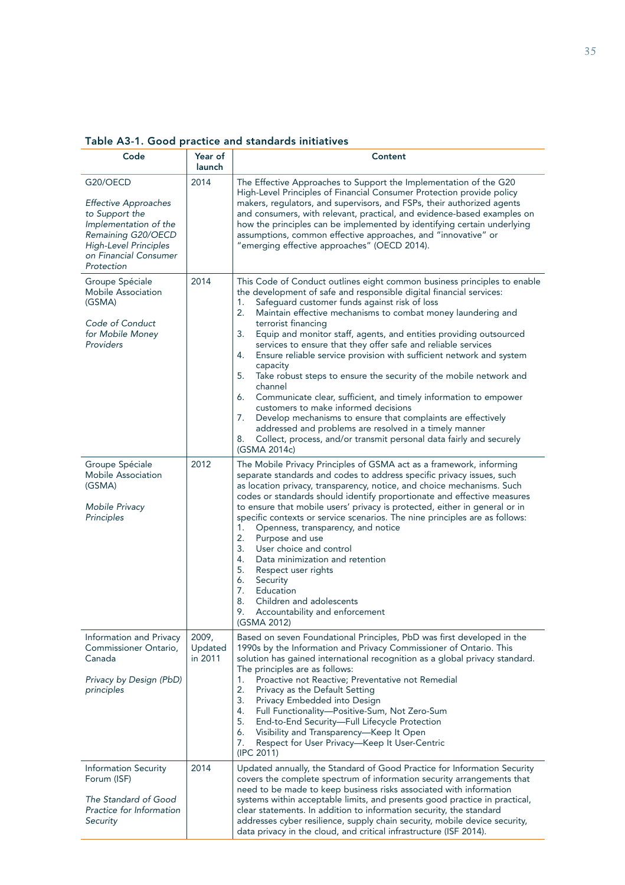| Code                                                                                                                                                                            | Year of<br>launch           | Content                                                                                                                                                                                                                                                                                                                                                                                                                                                                                                                                                                                                                                                                                                                                                                                                                                                                                                                                                                          |
|---------------------------------------------------------------------------------------------------------------------------------------------------------------------------------|-----------------------------|----------------------------------------------------------------------------------------------------------------------------------------------------------------------------------------------------------------------------------------------------------------------------------------------------------------------------------------------------------------------------------------------------------------------------------------------------------------------------------------------------------------------------------------------------------------------------------------------------------------------------------------------------------------------------------------------------------------------------------------------------------------------------------------------------------------------------------------------------------------------------------------------------------------------------------------------------------------------------------|
| G20/OECD<br><b>Effective Approaches</b><br>to Support the<br>Implementation of the<br>Remaining G20/OECD<br><b>High-Level Principles</b><br>on Financial Consumer<br>Protection | 2014                        | The Effective Approaches to Support the Implementation of the G20<br>High-Level Principles of Financial Consumer Protection provide policy<br>makers, regulators, and supervisors, and FSPs, their authorized agents<br>and consumers, with relevant, practical, and evidence-based examples on<br>how the principles can be implemented by identifying certain underlying<br>assumptions, common effective approaches, and "innovative" or<br>"emerging effective approaches" (OECD 2014).                                                                                                                                                                                                                                                                                                                                                                                                                                                                                      |
| Groupe Spéciale<br><b>Mobile Association</b><br>(GSMA)<br>Code of Conduct<br>for Mobile Money<br>Providers                                                                      | 2014                        | This Code of Conduct outlines eight common business principles to enable<br>the development of safe and responsible digital financial services:<br>1.<br>Safeguard customer funds against risk of loss<br>2.<br>Maintain effective mechanisms to combat money laundering and<br>terrorist financing<br>Equip and monitor staff, agents, and entities providing outsourced<br>3.<br>services to ensure that they offer safe and reliable services<br>Ensure reliable service provision with sufficient network and system<br>4.<br>capacity<br>Take robust steps to ensure the security of the mobile network and<br>5.<br>channel<br>Communicate clear, sufficient, and timely information to empower<br>6.<br>customers to make informed decisions<br>Develop mechanisms to ensure that complaints are effectively<br>7.<br>addressed and problems are resolved in a timely manner<br>Collect, process, and/or transmit personal data fairly and securely<br>8.<br>(GSMA 2014c) |
| Groupe Spéciale<br><b>Mobile Association</b><br>(GSMA)<br>Mobile Privacy<br>Principles                                                                                          | 2012                        | The Mobile Privacy Principles of GSMA act as a framework, informing<br>separate standards and codes to address specific privacy issues, such<br>as location privacy, transparency, notice, and choice mechanisms. Such<br>codes or standards should identify proportionate and effective measures<br>to ensure that mobile users' privacy is protected, either in general or in<br>specific contexts or service scenarios. The nine principles are as follows:<br>1.<br>Openness, transparency, and notice<br>2.<br>Purpose and use<br>3.<br>User choice and control<br>Data minimization and retention<br>4.<br>5.<br>Respect user rights<br>6.<br>Security<br>7.<br>Education<br>8.<br>Children and adolescents<br>9.<br>Accountability and enforcement<br>(GSMA 2012)                                                                                                                                                                                                         |
| Information and Privacy<br>Commissioner Ontario,<br>Canada<br>Privacy by Design (PbD)<br>principles                                                                             | 2009,<br>Updated<br>in 2011 | Based on seven Foundational Principles, PbD was first developed in the<br>1990s by the Information and Privacy Commissioner of Ontario. This<br>solution has gained international recognition as a global privacy standard.<br>The principles are as follows:<br>Proactive not Reactive; Preventative not Remedial<br>1.<br>2.<br>Privacy as the Default Setting<br>3.<br>Privacy Embedded into Design<br>Full Functionality-Positive-Sum, Not Zero-Sum<br>4.<br>5.<br>End-to-End Security-Full Lifecycle Protection<br>6.<br>Visibility and Transparency—Keep It Open<br>7.<br>Respect for User Privacy—Keep It User-Centric<br>(IPC 2011)                                                                                                                                                                                                                                                                                                                                      |
| <b>Information Security</b><br>Forum (ISF)<br>The Standard of Good<br>Practice for Information<br>Security                                                                      | 2014                        | Updated annually, the Standard of Good Practice for Information Security<br>covers the complete spectrum of information security arrangements that<br>need to be made to keep business risks associated with information<br>systems within acceptable limits, and presents good practice in practical,<br>clear statements. In addition to information security, the standard<br>addresses cyber resilience, supply chain security, mobile device security,<br>data privacy in the cloud, and critical infrastructure (ISF 2014).                                                                                                                                                                                                                                                                                                                                                                                                                                                |

Table A3-1. Good practice and standards initiatives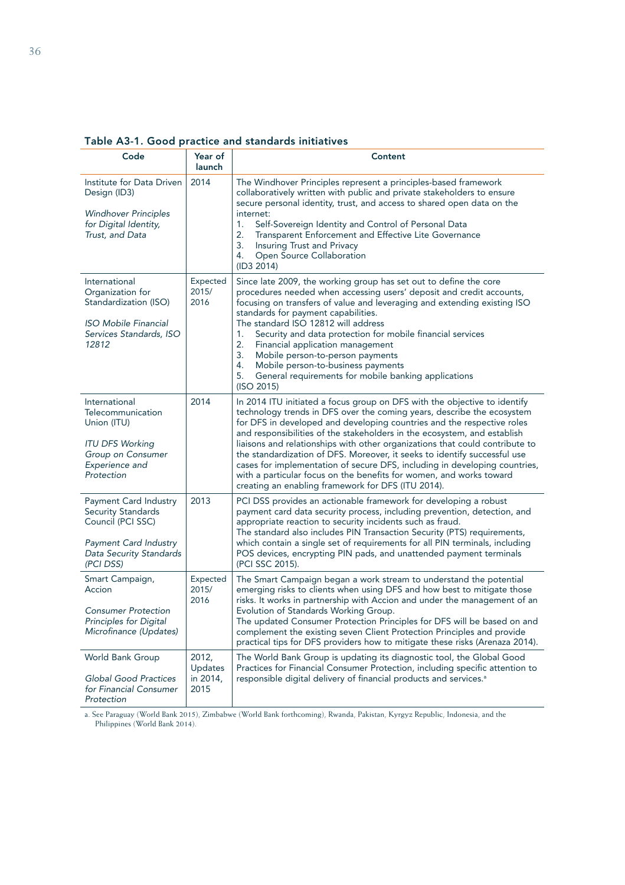| Code                                                                                                                                            | Year of<br>launch                    | Content                                                                                                                                                                                                                                                                                                                                                                                                                                                                                                                                                                                                                                                                           |
|-------------------------------------------------------------------------------------------------------------------------------------------------|--------------------------------------|-----------------------------------------------------------------------------------------------------------------------------------------------------------------------------------------------------------------------------------------------------------------------------------------------------------------------------------------------------------------------------------------------------------------------------------------------------------------------------------------------------------------------------------------------------------------------------------------------------------------------------------------------------------------------------------|
| Institute for Data Driven<br>Design (ID3)<br><b>Windhover Principles</b><br>for Digital Identity,<br>Trust, and Data                            | 2014                                 | The Windhover Principles represent a principles-based framework<br>collaboratively written with public and private stakeholders to ensure<br>secure personal identity, trust, and access to shared open data on the<br>internet:<br>Self-Sovereign Identity and Control of Personal Data<br>1.<br>2.<br>Transparent Enforcement and Effective Lite Governance<br>3.<br>Insuring Trust and Privacy<br>Open Source Collaboration<br>4.<br>(ID3 2014)                                                                                                                                                                                                                                |
| International<br>Organization for<br>Standardization (ISO)<br><b>ISO Mobile Financial</b><br>Services Standards, ISO<br>12812                   | Expected<br>2015/<br>2016            | Since late 2009, the working group has set out to define the core<br>procedures needed when accessing users' deposit and credit accounts,<br>focusing on transfers of value and leveraging and extending existing ISO<br>standards for payment capabilities.<br>The standard ISO 12812 will address<br>1.<br>Security and data protection for mobile financial services<br>2.<br>Financial application management<br>3.<br>Mobile person-to-person payments<br>4.<br>Mobile person-to-business payments<br>General requirements for mobile banking applications<br>5.<br>(ISO 2015)                                                                                               |
| International<br>Telecommunication<br>Union (ITU)<br><b>ITU DFS Working</b><br>Group on Consumer<br>Experience and<br>Protection                | 2014                                 | In 2014 ITU initiated a focus group on DFS with the objective to identify<br>technology trends in DFS over the coming years, describe the ecosystem<br>for DFS in developed and developing countries and the respective roles<br>and responsibilities of the stakeholders in the ecosystem, and establish<br>liaisons and relationships with other organizations that could contribute to<br>the standardization of DFS. Moreover, it seeks to identify successful use<br>cases for implementation of secure DFS, including in developing countries,<br>with a particular focus on the benefits for women, and works toward<br>creating an enabling framework for DFS (ITU 2014). |
| Payment Card Industry<br><b>Security Standards</b><br>Council (PCI SSC)<br><b>Payment Card Industry</b><br>Data Security Standards<br>(PCI DSS) | 2013                                 | PCI DSS provides an actionable framework for developing a robust<br>payment card data security process, including prevention, detection, and<br>appropriate reaction to security incidents such as fraud.<br>The standard also includes PIN Transaction Security (PTS) requirements,<br>which contain a single set of requirements for all PIN terminals, including<br>POS devices, encrypting PIN pads, and unattended payment terminals<br>(PCI SSC 2015).                                                                                                                                                                                                                      |
| Smart Campaign,<br>Accion<br><b>Consumer Protection</b><br>Principles for Digital<br>Microfinance (Updates)                                     | Expected<br>2015/<br>2016            | The Smart Campaign began a work stream to understand the potential<br>emerging risks to clients when using DFS and how best to mitigate those<br>risks. It works in partnership with Accion and under the management of an<br>Evolution of Standards Working Group.<br>The updated Consumer Protection Principles for DFS will be based on and<br>complement the existing seven Client Protection Principles and provide<br>practical tips for DFS providers how to mitigate these risks (Arenaza 2014).                                                                                                                                                                          |
| World Bank Group<br><b>Global Good Practices</b><br>for Financial Consumer<br>Protection                                                        | 2012,<br>Updates<br>in 2014,<br>2015 | The World Bank Group is updating its diagnostic tool, the Global Good<br>Practices for Financial Consumer Protection, including specific attention to<br>responsible digital delivery of financial products and services. <sup>a</sup>                                                                                                                                                                                                                                                                                                                                                                                                                                            |

Table A3-1. Good practice and standards initiatives

a. See Paraguay (World Bank 2015), Zimbabwe (World Bank forthcoming), Rwanda, Pakistan, Kyrgyz Republic, Indonesia, and the Philippines (World Bank 2014).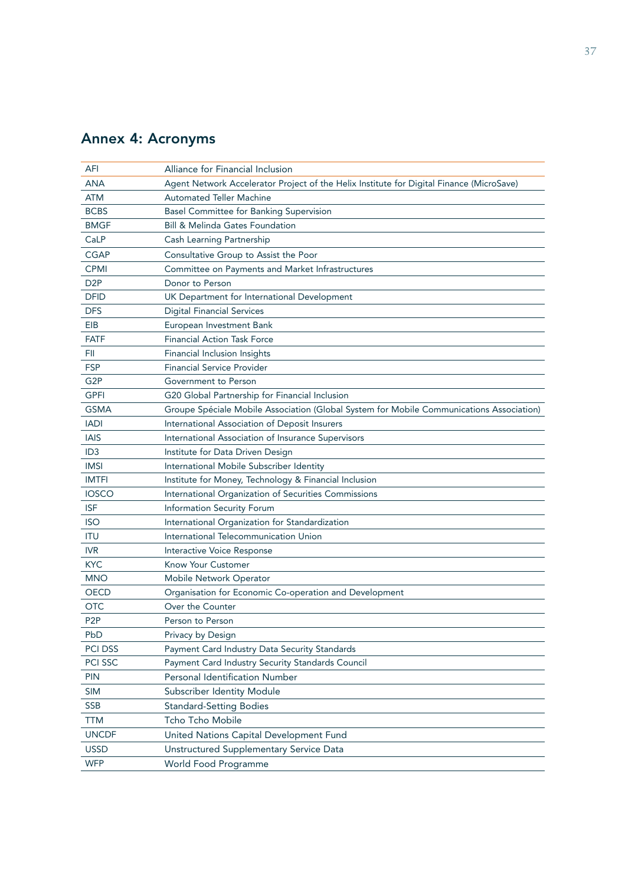# Annex 4: Acronyms

| AFI<br><b>ANA</b> | Alliance for Financial Inclusion<br>Agent Network Accelerator Project of the Helix Institute for Digital Finance (MicroSave) |
|-------------------|------------------------------------------------------------------------------------------------------------------------------|
| <b>ATM</b>        | <b>Automated Teller Machine</b>                                                                                              |
| <b>BCBS</b>       | Basel Committee for Banking Supervision                                                                                      |
| <b>BMGF</b>       | <b>Bill &amp; Melinda Gates Foundation</b>                                                                                   |
| CaLP              | Cash Learning Partnership                                                                                                    |
| <b>CGAP</b>       | Consultative Group to Assist the Poor                                                                                        |
| <b>CPMI</b>       | Committee on Payments and Market Infrastructures                                                                             |
| D <sub>2P</sub>   | Donor to Person                                                                                                              |
| <b>DFID</b>       | UK Department for International Development                                                                                  |
| <b>DFS</b>        | <b>Digital Financial Services</b>                                                                                            |
| EIB               | European Investment Bank                                                                                                     |
| <b>FATF</b>       | <b>Financial Action Task Force</b>                                                                                           |
| FII               | Financial Inclusion Insights                                                                                                 |
| <b>FSP</b>        | <b>Financial Service Provider</b>                                                                                            |
| G <sub>2</sub> P  | Government to Person                                                                                                         |
| <b>GPFI</b>       | G20 Global Partnership for Financial Inclusion                                                                               |
| <b>GSMA</b>       | Groupe Spéciale Mobile Association (Global System for Mobile Communications Association)                                     |
| <b>IADI</b>       | International Association of Deposit Insurers                                                                                |
| <b>IAIS</b>       | International Association of Insurance Supervisors                                                                           |
| ID <sub>3</sub>   | Institute for Data Driven Design                                                                                             |
| <b>IMSI</b>       | International Mobile Subscriber Identity                                                                                     |
| <b>IMTFI</b>      | Institute for Money, Technology & Financial Inclusion                                                                        |
| <b>IOSCO</b>      | International Organization of Securities Commissions                                                                         |
| <b>ISF</b>        | Information Security Forum                                                                                                   |
| <b>ISO</b>        | International Organization for Standardization                                                                               |
| <b>ITU</b>        | International Telecommunication Union                                                                                        |
| <b>IVR</b>        | Interactive Voice Response                                                                                                   |
| <b>KYC</b>        | Know Your Customer                                                                                                           |
| <b>MNO</b>        | Mobile Network Operator                                                                                                      |
| <b>OECD</b>       | Organisation for Economic Co-operation and Development                                                                       |
| <b>OTC</b>        | Over the Counter                                                                                                             |
| P <sub>2</sub> P  | Person to Person                                                                                                             |
| PbD               | Privacy by Design                                                                                                            |
| <b>PCI DSS</b>    | Payment Card Industry Data Security Standards                                                                                |
| PCI SSC           | Payment Card Industry Security Standards Council                                                                             |
| <b>PIN</b>        | Personal Identification Number                                                                                               |
| <b>SIM</b>        | Subscriber Identity Module                                                                                                   |
| <b>SSB</b>        | <b>Standard-Setting Bodies</b>                                                                                               |
| <b>TTM</b>        | Tcho Tcho Mobile                                                                                                             |
| <b>UNCDF</b>      | United Nations Capital Development Fund                                                                                      |
| <b>USSD</b>       | Unstructured Supplementary Service Data                                                                                      |
| <b>WFP</b>        | World Food Programme                                                                                                         |
|                   |                                                                                                                              |